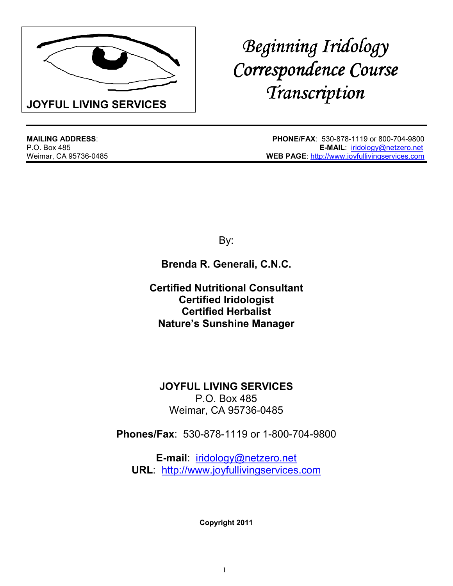

# *Beginning Iridology Correspondence Course Correspondence Course Transcription*

**MAILING ADDRESS**: **PHONE/FAX**: 530-878-1119 or 800-704-9800 **E-MAIL: iridology@netzero.net** Weimar, CA 95736-0485 **WEB PAGE**: http://www.joyfullivingservices.com

By:

**Brenda R. Generali, C.N.C.**

**Certified Nutritional Consultant Certified Iridologist Certified Herbalist Nature's Sunshine Manager**

**JOYFUL LIVING SERVICES** P.O. Box 485 Weimar, CA 95736-0485

**Phones/Fax**: 530-878-1119 or 1-800-704-9800

**E-mail**: iridology@netzero.net **URL**: http://www.joyfullivingservices.com

**Copyright 2011**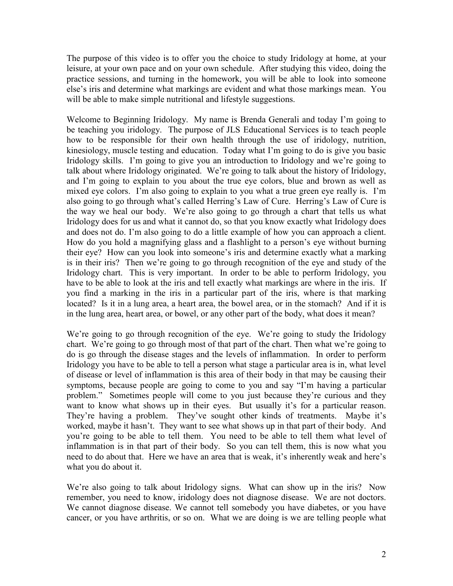The purpose of this video is to offer you the choice to study Iridology at home, at your leisure, at your own pace and on your own schedule. After studying this video, doing the practice sessions, and turning in the homework, you will be able to look into someone else's iris and determine what markings are evident and what those markings mean. You will be able to make simple nutritional and lifestyle suggestions.

Welcome to Beginning Iridology. My name is Brenda Generali and today I'm going to be teaching you iridology. The purpose of JLS Educational Services is to teach people how to be responsible for their own health through the use of iridology, nutrition, kinesiology, muscle testing and education. Today what I'm going to do is give you basic Iridology skills. I'm going to give you an introduction to Iridology and we're going to talk about where Iridology originated. We're going to talk about the history of Iridology, and I'm going to explain to you about the true eye colors, blue and brown as well as mixed eye colors. I'm also going to explain to you what a true green eye really is. I'm also going to go through what's called Herring's Law of Cure. Herring's Law of Cure is the way we heal our body. We're also going to go through a chart that tells us what Iridology does for us and what it cannot do, so that you know exactly what Iridology does and does not do. I'm also going to do a little example of how you can approach a client. How do you hold a magnifying glass and a flashlight to a person's eye without burning their eye? How can you look into someone's iris and determine exactly what a marking is in their iris? Then we're going to go through recognition of the eye and study of the Iridology chart. This is very important. In order to be able to perform Iridology, you have to be able to look at the iris and tell exactly what markings are where in the iris. If you find a marking in the iris in a particular part of the iris, where is that marking located? Is it in a lung area, a heart area, the bowel area, or in the stomach? And if it is in the lung area, heart area, or bowel, or any other part of the body, what does it mean?

We're going to go through recognition of the eye. We're going to study the Iridology chart. We're going to go through most of that part of the chart. Then what we're going to do is go through the disease stages and the levels of inflammation. In order to perform Iridology you have to be able to tell a person what stage a particular area is in, what level of disease or level of inflammation is this area of their body in that may be causing their symptoms, because people are going to come to you and say "I'm having a particular problem." Sometimes people will come to you just because they're curious and they want to know what shows up in their eyes. But usually it's for a particular reason. They're having a problem. They've sought other kinds of treatments. Maybe it's worked, maybe it hasn't. They want to see what shows up in that part of their body. And you're going to be able to tell them. You need to be able to tell them what level of inflammation is in that part of their body. So you can tell them, this is now what you need to do about that. Here we have an area that is weak, it's inherently weak and here's what you do about it.

We're also going to talk about Iridology signs. What can show up in the iris? Now remember, you need to know, iridology does not diagnose disease. We are not doctors. We cannot diagnose disease. We cannot tell somebody you have diabetes, or you have cancer, or you have arthritis, or so on. What we are doing is we are telling people what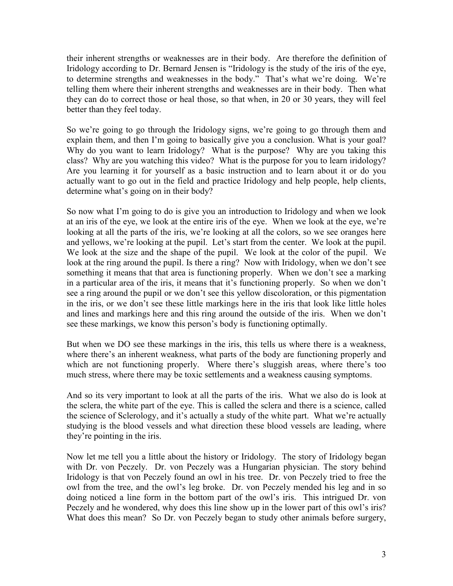their inherent strengths or weaknesses are in their body. Are therefore the definition of Iridology according to Dr. Bernard Jensen is "Iridology is the study of the iris of the eye, to determine strengths and weaknesses in the body." That's what we're doing. We're telling them where their inherent strengths and weaknesses are in their body. Then what they can do to correct those or heal those, so that when, in 20 or 30 years, they will feel better than they feel today.

So we're going to go through the Iridology signs, we're going to go through them and explain them, and then I'm going to basically give you a conclusion. What is your goal? Why do you want to learn Iridology? What is the purpose? Why are you taking this class? Why are you watching this video? What is the purpose for you to learn iridology? Are you learning it for yourself as a basic instruction and to learn about it or do you actually want to go out in the field and practice Iridology and help people, help clients, determine what's going on in their body?

So now what I'm going to do is give you an introduction to Iridology and when we look at an iris of the eye, we look at the entire iris of the eye. When we look at the eye, we're looking at all the parts of the iris, we're looking at all the colors, so we see oranges here and yellows, we're looking at the pupil. Let's start from the center. We look at the pupil. We look at the size and the shape of the pupil. We look at the color of the pupil. We look at the ring around the pupil. Is there a ring? Now with Iridology, when we don't see something it means that that area is functioning properly. When we don't see a marking in a particular area of the iris, it means that it's functioning properly. So when we don't see a ring around the pupil or we don't see this yellow discoloration, or this pigmentation in the iris, or we don't see these little markings here in the iris that look like little holes and lines and markings here and this ring around the outside of the iris. When we don't see these markings, we know this person's body is functioning optimally.

But when we DO see these markings in the iris, this tells us where there is a weakness, where there's an inherent weakness, what parts of the body are functioning properly and which are not functioning properly. Where there's sluggish areas, where there's too much stress, where there may be toxic settlements and a weakness causing symptoms.

And so its very important to look at all the parts of the iris. What we also do is look at the sclera, the white part of the eye. This is called the sclera and there is a science, called the science of Sclerology, and it's actually a study of the white part. What we're actually studying is the blood vessels and what direction these blood vessels are leading, where they're pointing in the iris.

Now let me tell you a little about the history or Iridology. The story of Iridology began with Dr. von Peczely. Dr. von Peczely was a Hungarian physician. The story behind Iridology is that von Peczely found an owl in his tree. Dr. von Peczely tried to free the owl from the tree, and the owl's leg broke. Dr. von Peczely mended his leg and in so doing noticed a line form in the bottom part of the owl's iris. This intrigued Dr. von Peczely and he wondered, why does this line show up in the lower part of this owl's iris? What does this mean? So Dr. von Peczely began to study other animals before surgery,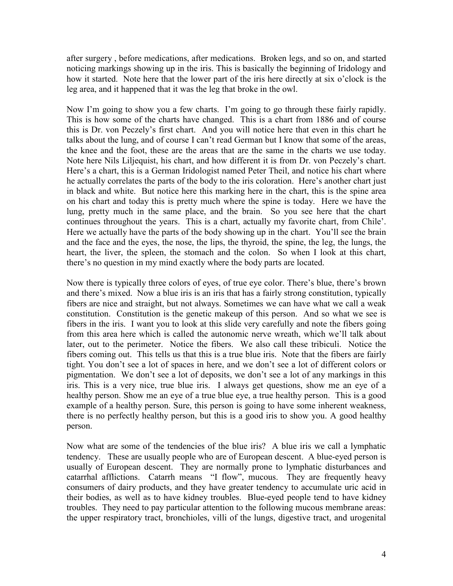after surgery , before medications, after medications. Broken legs, and so on, and started noticing markings showing up in the iris. This is basically the beginning of Iridology and how it started. Note here that the lower part of the iris here directly at six o'clock is the leg area, and it happened that it was the leg that broke in the owl.

Now I'm going to show you a few charts. I'm going to go through these fairly rapidly. This is how some of the charts have changed. This is a chart from 1886 and of course this is Dr. von Peczely's first chart. And you will notice here that even in this chart he talks about the lung, and of course I can't read German but I know that some of the areas, the knee and the foot, these are the areas that are the same in the charts we use today. Note here Nils Liljequist, his chart, and how different it is from Dr. von Peczely's chart. Here's a chart, this is a German Iridologist named Peter Theil, and notice his chart where he actually correlates the parts of the body to the iris coloration. Here's another chart just in black and white. But notice here this marking here in the chart, this is the spine area on his chart and today this is pretty much where the spine is today. Here we have the lung, pretty much in the same place, and the brain. So you see here that the chart continues throughout the years. This is a chart, actually my favorite chart, from Chile'. Here we actually have the parts of the body showing up in the chart. You'll see the brain and the face and the eyes, the nose, the lips, the thyroid, the spine, the leg, the lungs, the heart, the liver, the spleen, the stomach and the colon. So when I look at this chart, there's no question in my mind exactly where the body parts are located.

Now there is typically three colors of eyes, of true eye color. There's blue, there's brown and there's mixed. Now a blue iris is an iris that has a fairly strong constitution, typically fibers are nice and straight, but not always. Sometimes we can have what we call a weak constitution. Constitution is the genetic makeup of this person. And so what we see is fibers in the iris. I want you to look at this slide very carefully and note the fibers going from this area here which is called the autonomic nerve wreath, which we'll talk about later, out to the perimeter. Notice the fibers. We also call these tribiculi. Notice the fibers coming out. This tells us that this is a true blue iris. Note that the fibers are fairly tight. You don't see a lot of spaces in here, and we don't see a lot of different colors or pigmentation. We don't see a lot of deposits, we don't see a lot of any markings in this iris. This is a very nice, true blue iris. I always get questions, show me an eye of a healthy person. Show me an eye of a true blue eye, a true healthy person. This is a good example of a healthy person. Sure, this person is going to have some inherent weakness, there is no perfectly healthy person, but this is a good iris to show you. A good healthy person.

Now what are some of the tendencies of the blue iris? A blue iris we call a lymphatic tendency. These are usually people who are of European descent. A blue-eyed person is usually of European descent. They are normally prone to lymphatic disturbances and catarrhal afflictions. Catarrh means "I flow", mucous. They are frequently heavy consumers of dairy products, and they have greater tendency to accumulate uric acid in their bodies, as well as to have kidney troubles. Blue-eyed people tend to have kidney troubles. They need to pay particular attention to the following mucous membrane areas: the upper respiratory tract, bronchioles, villi of the lungs, digestive tract, and urogenital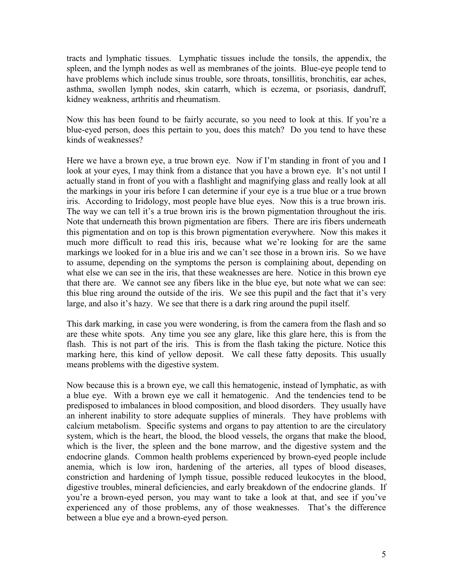tracts and lymphatic tissues. Lymphatic tissues include the tonsils, the appendix, the spleen, and the lymph nodes as well as membranes of the joints. Blue-eye people tend to have problems which include sinus trouble, sore throats, tonsillitis, bronchitis, ear aches, asthma, swollen lymph nodes, skin catarrh, which is eczema, or psoriasis, dandruff, kidney weakness, arthritis and rheumatism.

Now this has been found to be fairly accurate, so you need to look at this. If you're a blue-eyed person, does this pertain to you, does this match? Do you tend to have these kinds of weaknesses?

Here we have a brown eye, a true brown eye. Now if I'm standing in front of you and I look at your eyes, I may think from a distance that you have a brown eye. It's not until I actually stand in front of you with a flashlight and magnifying glass and really look at all the markings in your iris before I can determine if your eye is a true blue or a true brown iris. According to Iridology, most people have blue eyes. Now this is a true brown iris. The way we can tell it's a true brown iris is the brown pigmentation throughout the iris. Note that underneath this brown pigmentation are fibers. There are iris fibers underneath this pigmentation and on top is this brown pigmentation everywhere. Now this makes it much more difficult to read this iris, because what we're looking for are the same markings we looked for in a blue iris and we can't see those in a brown iris. So we have to assume, depending on the symptoms the person is complaining about, depending on what else we can see in the iris, that these weaknesses are here. Notice in this brown eye that there are. We cannot see any fibers like in the blue eye, but note what we can see: this blue ring around the outside of the iris. We see this pupil and the fact that it's very large, and also it's hazy. We see that there is a dark ring around the pupil itself.

This dark marking, in case you were wondering, is from the camera from the flash and so are these white spots. Any time you see any glare, like this glare here, this is from the flash. This is not part of the iris. This is from the flash taking the picture. Notice this marking here, this kind of yellow deposit. We call these fatty deposits. This usually means problems with the digestive system.

Now because this is a brown eye, we call this hematogenic, instead of lymphatic, as with a blue eye. With a brown eye we call it hematogenic. And the tendencies tend to be predisposed to imbalances in blood composition, and blood disorders. They usually have an inherent inability to store adequate supplies of minerals. They have problems with calcium metabolism. Specific systems and organs to pay attention to are the circulatory system, which is the heart, the blood, the blood vessels, the organs that make the blood, which is the liver, the spleen and the bone marrow, and the digestive system and the endocrine glands. Common health problems experienced by brown-eyed people include anemia, which is low iron, hardening of the arteries, all types of blood diseases, constriction and hardening of lymph tissue, possible reduced leukocytes in the blood, digestive troubles, mineral deficiencies, and early breakdown of the endocrine glands. If you're a brown-eyed person, you may want to take a look at that, and see if you've experienced any of those problems, any of those weaknesses. That's the difference between a blue eye and a brown-eyed person.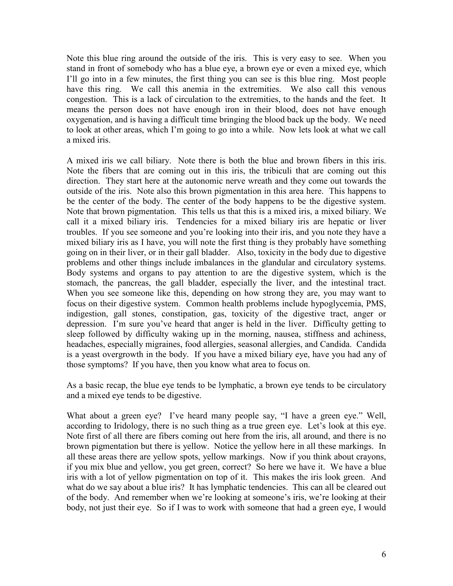Note this blue ring around the outside of the iris. This is very easy to see. When you stand in front of somebody who has a blue eye, a brown eye or even a mixed eye, which I'll go into in a few minutes, the first thing you can see is this blue ring. Most people have this ring. We call this anemia in the extremities. We also call this venous congestion. This is a lack of circulation to the extremities, to the hands and the feet. It means the person does not have enough iron in their blood, does not have enough oxygenation, and is having a difficult time bringing the blood back up the body. We need to look at other areas, which I'm going to go into a while. Now lets look at what we call a mixed iris.

A mixed iris we call biliary. Note there is both the blue and brown fibers in this iris. Note the fibers that are coming out in this iris, the tribiculi that are coming out this direction. They start here at the autonomic nerve wreath and they come out towards the outside of the iris. Note also this brown pigmentation in this area here. This happens to be the center of the body. The center of the body happens to be the digestive system. Note that brown pigmentation. This tells us that this is a mixed iris, a mixed biliary. We call it a mixed biliary iris. Tendencies for a mixed biliary iris are hepatic or liver troubles. If you see someone and you're looking into their iris, and you note they have a mixed biliary iris as I have, you will note the first thing is they probably have something going on in their liver, or in their gall bladder. Also, toxicity in the body due to digestive problems and other things include imbalances in the glandular and circulatory systems. Body systems and organs to pay attention to are the digestive system, which is the stomach, the pancreas, the gall bladder, especially the liver, and the intestinal tract. When you see someone like this, depending on how strong they are, you may want to focus on their digestive system. Common health problems include hypoglycemia, PMS, indigestion, gall stones, constipation, gas, toxicity of the digestive tract, anger or depression. I'm sure you've heard that anger is held in the liver. Difficulty getting to sleep followed by difficulty waking up in the morning, nausea, stiffness and achiness, headaches, especially migraines, food allergies, seasonal allergies, and Candida. Candida is a yeast overgrowth in the body. If you have a mixed biliary eye, have you had any of those symptoms? If you have, then you know what area to focus on.

As a basic recap, the blue eye tends to be lymphatic, a brown eye tends to be circulatory and a mixed eye tends to be digestive.

What about a green eye? I've heard many people say, "I have a green eye." Well, according to Iridology, there is no such thing as a true green eye. Let's look at this eye. Note first of all there are fibers coming out here from the iris, all around, and there is no brown pigmentation but there is yellow. Notice the yellow here in all these markings. In all these areas there are yellow spots, yellow markings. Now if you think about crayons, if you mix blue and yellow, you get green, correct? So here we have it. We have a blue iris with a lot of yellow pigmentation on top of it. This makes the iris look green. And what do we say about a blue iris? It has lymphatic tendencies. This can all be cleared out of the body. And remember when we're looking at someone's iris, we're looking at their body, not just their eye. So if I was to work with someone that had a green eye, I would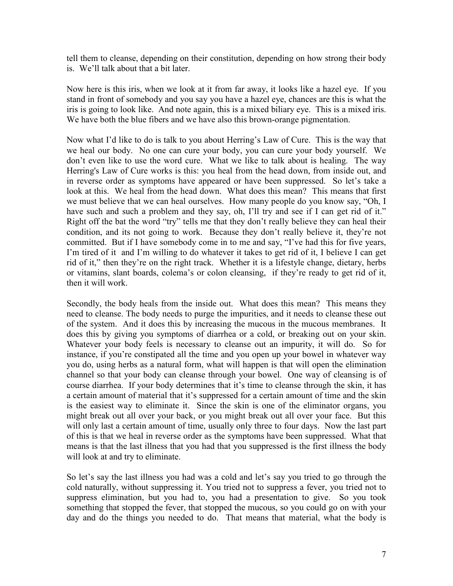tell them to cleanse, depending on their constitution, depending on how strong their body is. We'll talk about that a bit later.

Now here is this iris, when we look at it from far away, it looks like a hazel eye. If you stand in front of somebody and you say you have a hazel eye, chances are this is what the iris is going to look like. And note again, this is a mixed biliary eye. This is a mixed iris. We have both the blue fibers and we have also this brown-orange pigmentation.

Now what I'd like to do is talk to you about Herring's Law of Cure. This is the way that we heal our body. No one can cure your body, you can cure your body yourself. We don't even like to use the word cure. What we like to talk about is healing. The way Herring's Law of Cure works is this: you heal from the head down, from inside out, and in reverse order as symptoms have appeared or have been suppressed. So let's take a look at this. We heal from the head down. What does this mean? This means that first we must believe that we can heal ourselves. How many people do you know say, "Oh, I have such and such a problem and they say, oh, I'll try and see if I can get rid of it." Right off the bat the word "try" tells me that they don't really believe they can heal their condition, and its not going to work. Because they don't really believe it, they're not committed. But if I have somebody come in to me and say, "I've had this for five years, I'm tired of it and I'm willing to do whatever it takes to get rid of it, I believe I can get rid of it," then they're on the right track. Whether it is a lifestyle change, dietary, herbs or vitamins, slant boards, colema's or colon cleansing, if they're ready to get rid of it, then it will work.

Secondly, the body heals from the inside out. What does this mean? This means they need to cleanse. The body needs to purge the impurities, and it needs to cleanse these out of the system. And it does this by increasing the mucous in the mucous membranes. It does this by giving you symptoms of diarrhea or a cold, or breaking out on your skin. Whatever your body feels is necessary to cleanse out an impurity, it will do. So for instance, if you're constipated all the time and you open up your bowel in whatever way you do, using herbs as a natural form, what will happen is that will open the elimination channel so that your body can cleanse through your bowel. One way of cleansing is of course diarrhea. If your body determines that it's time to cleanse through the skin, it has a certain amount of material that it's suppressed for a certain amount of time and the skin is the easiest way to eliminate it. Since the skin is one of the eliminator organs, you might break out all over your back, or you might break out all over your face. But this will only last a certain amount of time, usually only three to four days. Now the last part of this is that we heal in reverse order as the symptoms have been suppressed. What that means is that the last illness that you had that you suppressed is the first illness the body will look at and try to eliminate.

So let's say the last illness you had was a cold and let's say you tried to go through the cold naturally, without suppressing it. You tried not to suppress a fever, you tried not to suppress elimination, but you had to, you had a presentation to give. So you took something that stopped the fever, that stopped the mucous, so you could go on with your day and do the things you needed to do. That means that material, what the body is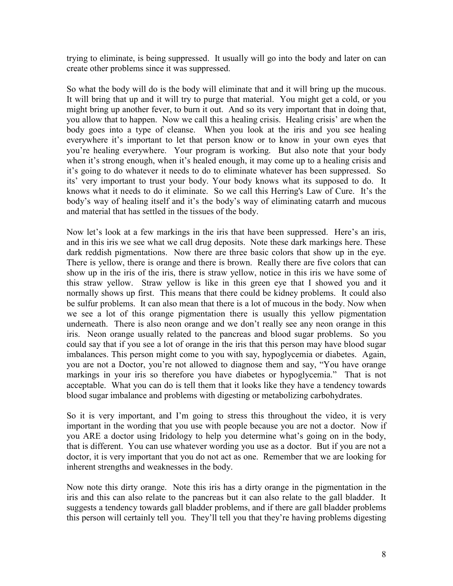trying to eliminate, is being suppressed. It usually will go into the body and later on can create other problems since it was suppressed.

So what the body will do is the body will eliminate that and it will bring up the mucous. It will bring that up and it will try to purge that material. You might get a cold, or you might bring up another fever, to burn it out. And so its very important that in doing that, you allow that to happen. Now we call this a healing crisis. Healing crisis' are when the body goes into a type of cleanse. When you look at the iris and you see healing everywhere it's important to let that person know or to know in your own eyes that you're healing everywhere. Your program is working. But also note that your body when it's strong enough, when it's healed enough, it may come up to a healing crisis and it's going to do whatever it needs to do to eliminate whatever has been suppressed. So its' very important to trust your body. Your body knows what its supposed to do. It knows what it needs to do it eliminate. So we call this Herring's Law of Cure. It's the body's way of healing itself and it's the body's way of eliminating catarrh and mucous and material that has settled in the tissues of the body.

Now let's look at a few markings in the iris that have been suppressed. Here's an iris, and in this iris we see what we call drug deposits. Note these dark markings here. These dark reddish pigmentations. Now there are three basic colors that show up in the eye. There is yellow, there is orange and there is brown. Really there are five colors that can show up in the iris of the iris, there is straw yellow, notice in this iris we have some of this straw yellow. Straw yellow is like in this green eye that I showed you and it normally shows up first. This means that there could be kidney problems. It could also be sulfur problems. It can also mean that there is a lot of mucous in the body. Now when we see a lot of this orange pigmentation there is usually this yellow pigmentation underneath. There is also neon orange and we don't really see any neon orange in this iris. Neon orange usually related to the pancreas and blood sugar problems. So you could say that if you see a lot of orange in the iris that this person may have blood sugar imbalances. This person might come to you with say, hypoglycemia or diabetes. Again, you are not a Doctor, you're not allowed to diagnose them and say, "You have orange markings in your iris so therefore you have diabetes or hypoglycemia." That is not acceptable. What you can do is tell them that it looks like they have a tendency towards blood sugar imbalance and problems with digesting or metabolizing carbohydrates.

So it is very important, and I'm going to stress this throughout the video, it is very important in the wording that you use with people because you are not a doctor. Now if you ARE a doctor using Iridology to help you determine what's going on in the body, that is different. You can use whatever wording you use as a doctor. But if you are not a doctor, it is very important that you do not act as one. Remember that we are looking for inherent strengths and weaknesses in the body.

Now note this dirty orange. Note this iris has a dirty orange in the pigmentation in the iris and this can also relate to the pancreas but it can also relate to the gall bladder. It suggests a tendency towards gall bladder problems, and if there are gall bladder problems this person will certainly tell you. They'll tell you that they're having problems digesting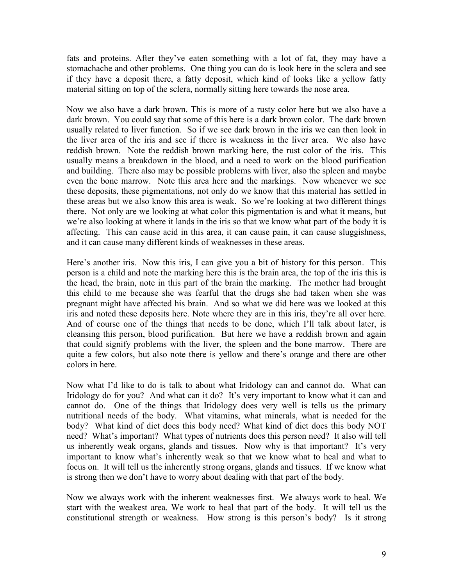fats and proteins. After they've eaten something with a lot of fat, they may have a stomachache and other problems. One thing you can do is look here in the sclera and see if they have a deposit there, a fatty deposit, which kind of looks like a yellow fatty material sitting on top of the sclera, normally sitting here towards the nose area.

Now we also have a dark brown. This is more of a rusty color here but we also have a dark brown. You could say that some of this here is a dark brown color. The dark brown usually related to liver function. So if we see dark brown in the iris we can then look in the liver area of the iris and see if there is weakness in the liver area. We also have reddish brown. Note the reddish brown marking here, the rust color of the iris. This usually means a breakdown in the blood, and a need to work on the blood purification and building. There also may be possible problems with liver, also the spleen and maybe even the bone marrow. Note this area here and the markings. Now whenever we see these deposits, these pigmentations, not only do we know that this material has settled in these areas but we also know this area is weak. So we're looking at two different things there. Not only are we looking at what color this pigmentation is and what it means, but we're also looking at where it lands in the iris so that we know what part of the body it is affecting. This can cause acid in this area, it can cause pain, it can cause sluggishness, and it can cause many different kinds of weaknesses in these areas.

Here's another iris. Now this iris, I can give you a bit of history for this person. This person is a child and note the marking here this is the brain area, the top of the iris this is the head, the brain, note in this part of the brain the marking. The mother had brought this child to me because she was fearful that the drugs she had taken when she was pregnant might have affected his brain. And so what we did here was we looked at this iris and noted these deposits here. Note where they are in this iris, they're all over here. And of course one of the things that needs to be done, which I'll talk about later, is cleansing this person, blood purification. But here we have a reddish brown and again that could signify problems with the liver, the spleen and the bone marrow. There are quite a few colors, but also note there is yellow and there's orange and there are other colors in here.

Now what I'd like to do is talk to about what Iridology can and cannot do. What can Iridology do for you? And what can it do? It's very important to know what it can and cannot do. One of the things that Iridology does very well is tells us the primary nutritional needs of the body. What vitamins, what minerals, what is needed for the body? What kind of diet does this body need? What kind of diet does this body NOT need? What's important? What types of nutrients does this person need? It also will tell us inherently weak organs, glands and tissues. Now why is that important? It's very important to know what's inherently weak so that we know what to heal and what to focus on. It will tell us the inherently strong organs, glands and tissues. If we know what is strong then we don't have to worry about dealing with that part of the body.

Now we always work with the inherent weaknesses first. We always work to heal. We start with the weakest area. We work to heal that part of the body. It will tell us the constitutional strength or weakness. How strong is this person's body? Is it strong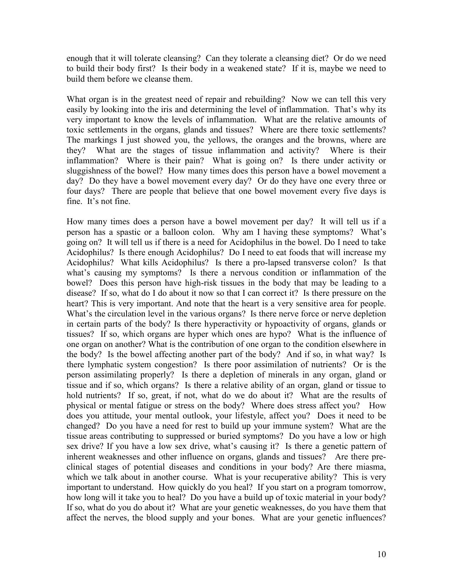enough that it will tolerate cleansing? Can they tolerate a cleansing diet? Or do we need to build their body first? Is their body in a weakened state? If it is, maybe we need to build them before we cleanse them.

What organ is in the greatest need of repair and rebuilding? Now we can tell this very easily by looking into the iris and determining the level of inflammation. That's why its very important to know the levels of inflammation. What are the relative amounts of toxic settlements in the organs, glands and tissues? Where are there toxic settlements? The markings I just showed you, the yellows, the oranges and the browns, where are they? What are the stages of tissue inflammation and activity? Where is their inflammation? Where is their pain? What is going on? Is there under activity or sluggishness of the bowel? How many times does this person have a bowel movement a day? Do they have a bowel movement every day? Or do they have one every three or four days? There are people that believe that one bowel movement every five days is fine. It's not fine.

How many times does a person have a bowel movement per day? It will tell us if a person has a spastic or a balloon colon. Why am I having these symptoms? What's going on? It will tell us if there is a need for Acidophilus in the bowel. Do I need to take Acidophilus? Is there enough Acidophilus? Do I need to eat foods that will increase my Acidophilus? What kills Acidophilus? Is there a pro-lapsed transverse colon? Is that what's causing my symptoms? Is there a nervous condition or inflammation of the bowel? Does this person have high-risk tissues in the body that may be leading to a disease? If so, what do I do about it now so that I can correct it? Is there pressure on the heart? This is very important. And note that the heart is a very sensitive area for people. What's the circulation level in the various organs? Is there nerve force or nerve depletion in certain parts of the body? Is there hyperactivity or hypoactivity of organs, glands or tissues? If so, which organs are hyper which ones are hypo? What is the influence of one organ on another? What is the contribution of one organ to the condition elsewhere in the body? Is the bowel affecting another part of the body? And if so, in what way? Is there lymphatic system congestion? Is there poor assimilation of nutrients? Or is the person assimilating properly? Is there a depletion of minerals in any organ, gland or tissue and if so, which organs? Is there a relative ability of an organ, gland or tissue to hold nutrients? If so, great, if not, what do we do about it? What are the results of physical or mental fatigue or stress on the body? Where does stress affect you? How does you attitude, your mental outlook, your lifestyle, affect you? Does it need to be changed? Do you have a need for rest to build up your immune system? What are the tissue areas contributing to suppressed or buried symptoms? Do you have a low or high sex drive? If you have a low sex drive, what's causing it? Is there a genetic pattern of inherent weaknesses and other influence on organs, glands and tissues? Are there preclinical stages of potential diseases and conditions in your body? Are there miasma, which we talk about in another course. What is your recuperative ability? This is very important to understand. How quickly do you heal? If you start on a program tomorrow, how long will it take you to heal? Do you have a build up of toxic material in your body? If so, what do you do about it? What are your genetic weaknesses, do you have them that affect the nerves, the blood supply and your bones. What are your genetic influences?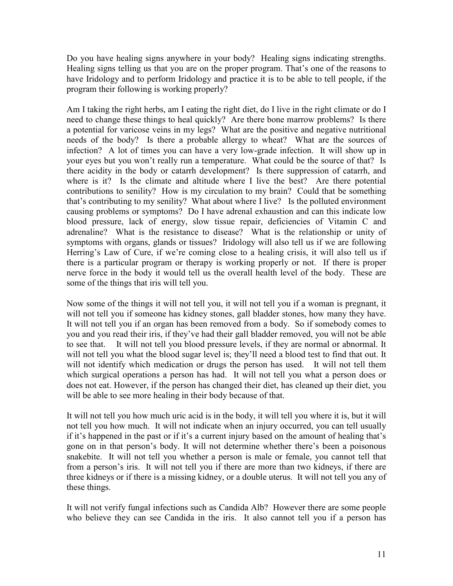Do you have healing signs anywhere in your body? Healing signs indicating strengths. Healing signs telling us that you are on the proper program. That's one of the reasons to have Iridology and to perform Iridology and practice it is to be able to tell people, if the program their following is working properly?

Am I taking the right herbs, am I eating the right diet, do I live in the right climate or do I need to change these things to heal quickly? Are there bone marrow problems? Is there a potential for varicose veins in my legs? What are the positive and negative nutritional needs of the body? Is there a probable allergy to wheat? What are the sources of infection? A lot of times you can have a very low-grade infection. It will show up in your eyes but you won't really run a temperature. What could be the source of that? Is there acidity in the body or catarrh development? Is there suppression of catarrh, and where is it? Is the climate and altitude where I live the best? Are there potential contributions to senility? How is my circulation to my brain? Could that be something that's contributing to my senility? What about where I live? Is the polluted environment causing problems or symptoms? Do I have adrenal exhaustion and can this indicate low blood pressure, lack of energy, slow tissue repair, deficiencies of Vitamin C and adrenaline? What is the resistance to disease? What is the relationship or unity of symptoms with organs, glands or tissues? Iridology will also tell us if we are following Herring's Law of Cure, if we're coming close to a healing crisis, it will also tell us if there is a particular program or therapy is working properly or not. If there is proper nerve force in the body it would tell us the overall health level of the body. These are some of the things that iris will tell you.

Now some of the things it will not tell you, it will not tell you if a woman is pregnant, it will not tell you if someone has kidney stones, gall bladder stones, how many they have. It will not tell you if an organ has been removed from a body. So if somebody comes to you and you read their iris, if they've had their gall bladder removed, you will not be able to see that. It will not tell you blood pressure levels, if they are normal or abnormal. It will not tell you what the blood sugar level is; they'll need a blood test to find that out. It will not identify which medication or drugs the person has used. It will not tell them which surgical operations a person has had. It will not tell you what a person does or does not eat. However, if the person has changed their diet, has cleaned up their diet, you will be able to see more healing in their body because of that.

It will not tell you how much uric acid is in the body, it will tell you where it is, but it will not tell you how much. It will not indicate when an injury occurred, you can tell usually if it's happened in the past or if it's a current injury based on the amount of healing that's gone on in that person's body. It will not determine whether there's been a poisonous snakebite. It will not tell you whether a person is male or female, you cannot tell that from a person's iris. It will not tell you if there are more than two kidneys, if there are three kidneys or if there is a missing kidney, or a double uterus. It will not tell you any of these things.

It will not verify fungal infections such as Candida Alb? However there are some people who believe they can see Candida in the iris. It also cannot tell you if a person has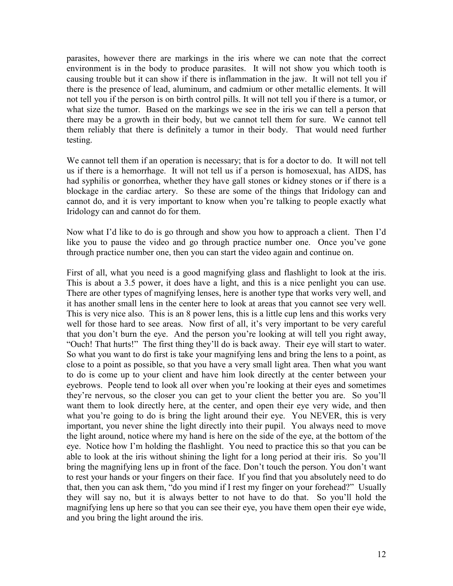parasites, however there are markings in the iris where we can note that the correct environment is in the body to produce parasites. It will not show you which tooth is causing trouble but it can show if there is inflammation in the jaw. It will not tell you if there is the presence of lead, aluminum, and cadmium or other metallic elements. It will not tell you if the person is on birth control pills. It will not tell you if there is a tumor, or what size the tumor. Based on the markings we see in the iris we can tell a person that there may be a growth in their body, but we cannot tell them for sure. We cannot tell them reliably that there is definitely a tumor in their body. That would need further testing.

We cannot tell them if an operation is necessary; that is for a doctor to do. It will not tell us if there is a hemorrhage. It will not tell us if a person is homosexual, has AIDS, has had syphilis or gonorrhea, whether they have gall stones or kidney stones or if there is a blockage in the cardiac artery. So these are some of the things that Iridology can and cannot do, and it is very important to know when you're talking to people exactly what Iridology can and cannot do for them.

Now what I'd like to do is go through and show you how to approach a client. Then I'd like you to pause the video and go through practice number one. Once you've gone through practice number one, then you can start the video again and continue on.

First of all, what you need is a good magnifying glass and flashlight to look at the iris. This is about a 3.5 power, it does have a light, and this is a nice penlight you can use. There are other types of magnifying lenses, here is another type that works very well, and it has another small lens in the center here to look at areas that you cannot see very well. This is very nice also. This is an 8 power lens, this is a little cup lens and this works very well for those hard to see areas. Now first of all, it's very important to be very careful that you don't burn the eye. And the person you're looking at will tell you right away, "Ouch! That hurts!" The first thing they'll do is back away. Their eye will start to water. So what you want to do first is take your magnifying lens and bring the lens to a point, as close to a point as possible, so that you have a very small light area. Then what you want to do is come up to your client and have him look directly at the center between your eyebrows. People tend to look all over when you're looking at their eyes and sometimes they're nervous, so the closer you can get to your client the better you are. So you'll want them to look directly here, at the center, and open their eye very wide, and then what you're going to do is bring the light around their eye. You NEVER, this is very important, you never shine the light directly into their pupil. You always need to move the light around, notice where my hand is here on the side of the eye, at the bottom of the eye. Notice how I'm holding the flashlight. You need to practice this so that you can be able to look at the iris without shining the light for a long period at their iris. So you'll bring the magnifying lens up in front of the face. Don't touch the person. You don't want to rest your hands or your fingers on their face. If you find that you absolutely need to do that, then you can ask them, "do you mind if I rest my finger on your forehead?" Usually they will say no, but it is always better to not have to do that. So you'll hold the magnifying lens up here so that you can see their eye, you have them open their eye wide, and you bring the light around the iris.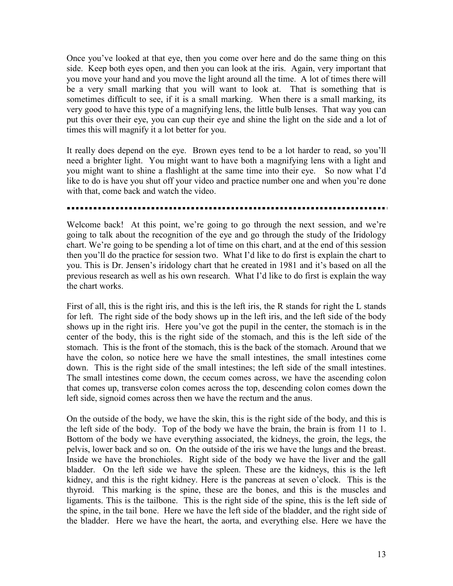Once you've looked at that eye, then you come over here and do the same thing on this side. Keep both eyes open, and then you can look at the iris. Again, very important that you move your hand and you move the light around all the time. A lot of times there will be a very small marking that you will want to look at. That is something that is sometimes difficult to see, if it is a small marking. When there is a small marking, its very good to have this type of a magnifying lens, the little bulb lenses. That way you can put this over their eye, you can cup their eye and shine the light on the side and a lot of times this will magnify it a lot better for you.

It really does depend on the eye. Brown eyes tend to be a lot harder to read, so you'll need a brighter light. You might want to have both a magnifying lens with a light and you might want to shine a flashlight at the same time into their eye. So now what I'd like to do is have you shut off your video and practice number one and when you're done with that, come back and watch the video.

Welcome back! At this point, we're going to go through the next session, and we're going to talk about the recognition of the eye and go through the study of the Iridology chart. We're going to be spending a lot of time on this chart, and at the end of this session then you'll do the practice for session two. What I'd like to do first is explain the chart to you. This is Dr. Jensen's iridology chart that he created in 1981 and it's based on all the previous research as well as his own research. What I'd like to do first is explain the way the chart works.

First of all, this is the right iris, and this is the left iris, the R stands for right the L stands for left. The right side of the body shows up in the left iris, and the left side of the body shows up in the right iris. Here you've got the pupil in the center, the stomach is in the center of the body, this is the right side of the stomach, and this is the left side of the stomach. This is the front of the stomach, this is the back of the stomach. Around that we have the colon, so notice here we have the small intestines, the small intestines come down. This is the right side of the small intestines; the left side of the small intestines. The small intestines come down, the cecum comes across, we have the ascending colon that comes up, transverse colon comes across the top, descending colon comes down the left side, signoid comes across then we have the rectum and the anus.

On the outside of the body, we have the skin, this is the right side of the body, and this is the left side of the body. Top of the body we have the brain, the brain is from 11 to 1. Bottom of the body we have everything associated, the kidneys, the groin, the legs, the pelvis, lower back and so on. On the outside of the iris we have the lungs and the breast. Inside we have the bronchioles. Right side of the body we have the liver and the gall bladder. On the left side we have the spleen. These are the kidneys, this is the left kidney, and this is the right kidney. Here is the pancreas at seven o'clock. This is the thyroid. This marking is the spine, these are the bones, and this is the muscles and ligaments. This is the tailbone. This is the right side of the spine, this is the left side of the spine, in the tail bone. Here we have the left side of the bladder, and the right side of the bladder. Here we have the heart, the aorta, and everything else. Here we have the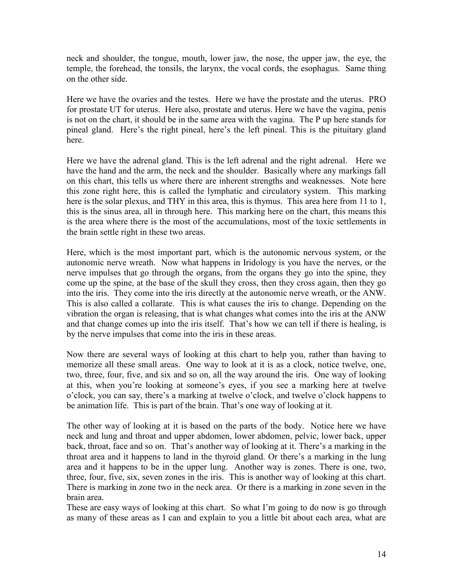neck and shoulder, the tongue, mouth, lower jaw, the nose, the upper jaw, the eye, the temple, the forehead, the tonsils, the larynx, the vocal cords, the esophagus. Same thing on the other side.

Here we have the ovaries and the testes. Here we have the prostate and the uterus. PRO for prostate UT for uterus. Here also, prostate and uterus. Here we have the vagina, penis is not on the chart, it should be in the same area with the vagina. The P up here stands for pineal gland. Here's the right pineal, here's the left pineal. This is the pituitary gland here.

Here we have the adrenal gland. This is the left adrenal and the right adrenal. Here we have the hand and the arm, the neck and the shoulder. Basically where any markings fall on this chart, this tells us where there are inherent strengths and weaknesses. Note here this zone right here, this is called the lymphatic and circulatory system. This marking here is the solar plexus, and THY in this area, this is thymus. This area here from 11 to 1, this is the sinus area, all in through here. This marking here on the chart, this means this is the area where there is the most of the accumulations, most of the toxic settlements in the brain settle right in these two areas.

Here, which is the most important part, which is the autonomic nervous system, or the autonomic nerve wreath. Now what happens in Iridology is you have the nerves, or the nerve impulses that go through the organs, from the organs they go into the spine, they come up the spine, at the base of the skull they cross, then they cross again, then they go into the iris. They come into the iris directly at the autonomic nerve wreath, or the ANW. This is also called a collarate. This is what causes the iris to change. Depending on the vibration the organ is releasing, that is what changes what comes into the iris at the ANW and that change comes up into the iris itself. That's how we can tell if there is healing, is by the nerve impulses that come into the iris in these areas.

Now there are several ways of looking at this chart to help you, rather than having to memorize all these small areas. One way to look at it is as a clock, notice twelve, one, two, three, four, five, and six and so on, all the way around the iris. One way of looking at this, when you're looking at someone's eyes, if you see a marking here at twelve o'clock, you can say, there's a marking at twelve o'clock, and twelve o'clock happens to be animation life. This is part of the brain. That's one way of looking at it.

The other way of looking at it is based on the parts of the body. Notice here we have neck and lung and throat and upper abdomen, lower abdomen, pelvic, lower back, upper back, throat, face and so on. That's another way of looking at it. There's a marking in the throat area and it happens to land in the thyroid gland. Or there's a marking in the lung area and it happens to be in the upper lung. Another way is zones. There is one, two, three, four, five, six, seven zones in the iris. This is another way of looking at this chart. There is marking in zone two in the neck area. Or there is a marking in zone seven in the brain area.

These are easy ways of looking at this chart. So what I'm going to do now is go through as many of these areas as I can and explain to you a little bit about each area, what are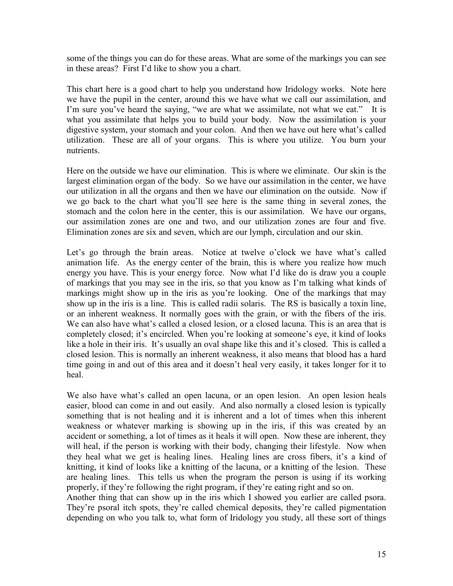some of the things you can do for these areas. What are some of the markings you can see in these areas? First I'd like to show you a chart.

This chart here is a good chart to help you understand how Iridology works. Note here we have the pupil in the center, around this we have what we call our assimilation, and I'm sure you've heard the saying, "we are what we assimilate, not what we eat." It is what you assimilate that helps you to build your body. Now the assimilation is your digestive system, your stomach and your colon. And then we have out here what's called utilization. These are all of your organs. This is where you utilize. You burn your nutrients.

Here on the outside we have our elimination. This is where we eliminate. Our skin is the largest elimination organ of the body. So we have our assimilation in the center, we have our utilization in all the organs and then we have our elimination on the outside. Now if we go back to the chart what you'll see here is the same thing in several zones, the stomach and the colon here in the center, this is our assimilation. We have our organs, our assimilation zones are one and two, and our utilization zones are four and five. Elimination zones are six and seven, which are our lymph, circulation and our skin.

Let's go through the brain areas. Notice at twelve o'clock we have what's called animation life. As the energy center of the brain, this is where you realize how much energy you have. This is your energy force. Now what I'd like do is draw you a couple of markings that you may see in the iris, so that you know as I'm talking what kinds of markings might show up in the iris as you're looking. One of the markings that may show up in the iris is a line. This is called radii solaris. The RS is basically a toxin line, or an inherent weakness. It normally goes with the grain, or with the fibers of the iris. We can also have what's called a closed lesion, or a closed lacuna. This is an area that is completely closed; it's encircled. When you're looking at someone's eye, it kind of looks like a hole in their iris. It's usually an oval shape like this and it's closed. This is called a closed lesion. This is normally an inherent weakness, it also means that blood has a hard time going in and out of this area and it doesn't heal very easily, it takes longer for it to heal.

We also have what's called an open lacuna, or an open lesion. An open lesion heals easier, blood can come in and out easily. And also normally a closed lesion is typically something that is not healing and it is inherent and a lot of times when this inherent weakness or whatever marking is showing up in the iris, if this was created by an accident or something, a lot of times as it heals it will open. Now these are inherent, they will heal, if the person is working with their body, changing their lifestyle. Now when they heal what we get is healing lines. Healing lines are cross fibers, it's a kind of knitting, it kind of looks like a knitting of the lacuna, or a knitting of the lesion. These are healing lines. This tells us when the program the person is using if its working properly, if they're following the right program, if they're eating right and so on.

Another thing that can show up in the iris which I showed you earlier are called psora. They're psoral itch spots, they're called chemical deposits, they're called pigmentation depending on who you talk to, what form of Iridology you study, all these sort of things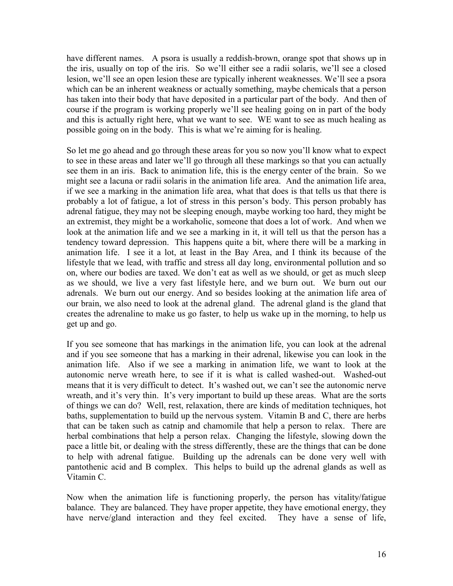have different names. A psora is usually a reddish-brown, orange spot that shows up in the iris, usually on top of the iris. So we'll either see a radii solaris, we'll see a closed lesion, we'll see an open lesion these are typically inherent weaknesses. We'll see a psora which can be an inherent weakness or actually something, maybe chemicals that a person has taken into their body that have deposited in a particular part of the body. And then of course if the program is working properly we'll see healing going on in part of the body and this is actually right here, what we want to see. WE want to see as much healing as possible going on in the body. This is what we're aiming for is healing.

So let me go ahead and go through these areas for you so now you'll know what to expect to see in these areas and later we'll go through all these markings so that you can actually see them in an iris. Back to animation life, this is the energy center of the brain. So we might see a lacuna or radii solaris in the animation life area. And the animation life area, if we see a marking in the animation life area, what that does is that tells us that there is probably a lot of fatigue, a lot of stress in this person's body. This person probably has adrenal fatigue, they may not be sleeping enough, maybe working too hard, they might be an extremist, they might be a workaholic, someone that does a lot of work. And when we look at the animation life and we see a marking in it, it will tell us that the person has a tendency toward depression. This happens quite a bit, where there will be a marking in animation life. I see it a lot, at least in the Bay Area, and I think its because of the lifestyle that we lead, with traffic and stress all day long, environmental pollution and so on, where our bodies are taxed. We don't eat as well as we should, or get as much sleep as we should, we live a very fast lifestyle here, and we burn out. We burn out our adrenals. We burn out our energy. And so besides looking at the animation life area of our brain, we also need to look at the adrenal gland. The adrenal gland is the gland that creates the adrenaline to make us go faster, to help us wake up in the morning, to help us get up and go.

If you see someone that has markings in the animation life, you can look at the adrenal and if you see someone that has a marking in their adrenal, likewise you can look in the animation life. Also if we see a marking in animation life, we want to look at the autonomic nerve wreath here, to see if it is what is called washed-out. Washed-out means that it is very difficult to detect. It's washed out, we can't see the autonomic nerve wreath, and it's very thin. It's very important to build up these areas. What are the sorts of things we can do? Well, rest, relaxation, there are kinds of meditation techniques, hot baths, supplementation to build up the nervous system. Vitamin B and C, there are herbs that can be taken such as catnip and chamomile that help a person to relax. There are herbal combinations that help a person relax. Changing the lifestyle, slowing down the pace a little bit, or dealing with the stress differently, these are the things that can be done to help with adrenal fatigue. Building up the adrenals can be done very well with pantothenic acid and B complex. This helps to build up the adrenal glands as well as Vitamin C.

Now when the animation life is functioning properly, the person has vitality/fatigue balance. They are balanced. They have proper appetite, they have emotional energy, they have nerve/gland interaction and they feel excited. They have a sense of life,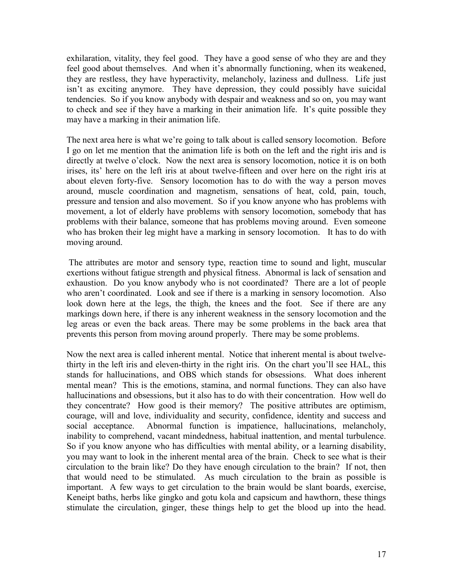exhilaration, vitality, they feel good. They have a good sense of who they are and they feel good about themselves. And when it's abnormally functioning, when its weakened, they are restless, they have hyperactivity, melancholy, laziness and dullness. Life just isn't as exciting anymore. They have depression, they could possibly have suicidal tendencies. So if you know anybody with despair and weakness and so on, you may want to check and see if they have a marking in their animation life. It's quite possible they may have a marking in their animation life.

The next area here is what we're going to talk about is called sensory locomotion. Before I go on let me mention that the animation life is both on the left and the right iris and is directly at twelve o'clock. Now the next area is sensory locomotion, notice it is on both irises, its' here on the left iris at about twelve-fifteen and over here on the right iris at about eleven forty-five. Sensory locomotion has to do with the way a person moves around, muscle coordination and magnetism, sensations of heat, cold, pain, touch, pressure and tension and also movement. So if you know anyone who has problems with movement, a lot of elderly have problems with sensory locomotion, somebody that has problems with their balance, someone that has problems moving around. Even someone who has broken their leg might have a marking in sensory locomotion. It has to do with moving around.

 The attributes are motor and sensory type, reaction time to sound and light, muscular exertions without fatigue strength and physical fitness. Abnormal is lack of sensation and exhaustion. Do you know anybody who is not coordinated? There are a lot of people who aren't coordinated. Look and see if there is a marking in sensory locomotion. Also look down here at the legs, the thigh, the knees and the foot. See if there are any markings down here, if there is any inherent weakness in the sensory locomotion and the leg areas or even the back areas. There may be some problems in the back area that prevents this person from moving around properly. There may be some problems.

Now the next area is called inherent mental. Notice that inherent mental is about twelvethirty in the left iris and eleven-thirty in the right iris. On the chart you'll see HAL, this stands for hallucinations, and OBS which stands for obsessions. What does inherent mental mean? This is the emotions, stamina, and normal functions. They can also have hallucinations and obsessions, but it also has to do with their concentration. How well do they concentrate? How good is their memory? The positive attributes are optimism, courage, will and love, individuality and security, confidence, identity and success and social acceptance. Abnormal function is impatience, hallucinations, melancholy, inability to comprehend, vacant mindedness, habitual inattention, and mental turbulence. So if you know anyone who has difficulties with mental ability, or a learning disability, you may want to look in the inherent mental area of the brain. Check to see what is their circulation to the brain like? Do they have enough circulation to the brain? If not, then that would need to be stimulated. As much circulation to the brain as possible is important. A few ways to get circulation to the brain would be slant boards, exercise, Keneipt baths, herbs like gingko and gotu kola and capsicum and hawthorn, these things stimulate the circulation, ginger, these things help to get the blood up into the head.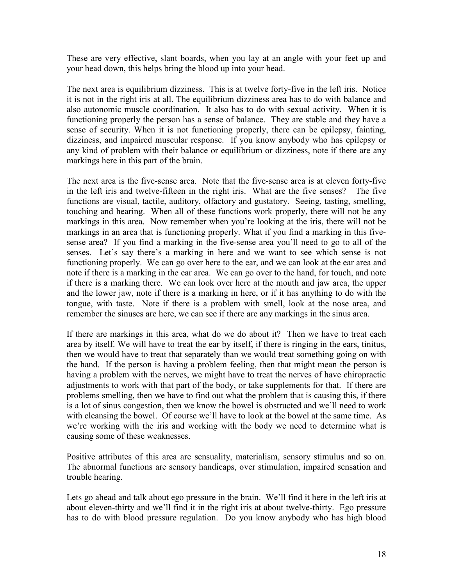These are very effective, slant boards, when you lay at an angle with your feet up and your head down, this helps bring the blood up into your head.

The next area is equilibrium dizziness. This is at twelve forty-five in the left iris. Notice it is not in the right iris at all. The equilibrium dizziness area has to do with balance and also autonomic muscle coordination. It also has to do with sexual activity. When it is functioning properly the person has a sense of balance. They are stable and they have a sense of security. When it is not functioning properly, there can be epilepsy, fainting, dizziness, and impaired muscular response. If you know anybody who has epilepsy or any kind of problem with their balance or equilibrium or dizziness, note if there are any markings here in this part of the brain.

The next area is the five-sense area. Note that the five-sense area is at eleven forty-five in the left iris and twelve-fifteen in the right iris. What are the five senses? The five functions are visual, tactile, auditory, olfactory and gustatory. Seeing, tasting, smelling, touching and hearing. When all of these functions work properly, there will not be any markings in this area. Now remember when you're looking at the iris, there will not be markings in an area that is functioning properly. What if you find a marking in this fivesense area? If you find a marking in the five-sense area you'll need to go to all of the senses. Let's say there's a marking in here and we want to see which sense is not functioning properly. We can go over here to the ear, and we can look at the ear area and note if there is a marking in the ear area. We can go over to the hand, for touch, and note if there is a marking there. We can look over here at the mouth and jaw area, the upper and the lower jaw, note if there is a marking in here, or if it has anything to do with the tongue, with taste. Note if there is a problem with smell, look at the nose area, and remember the sinuses are here, we can see if there are any markings in the sinus area.

If there are markings in this area, what do we do about it? Then we have to treat each area by itself. We will have to treat the ear by itself, if there is ringing in the ears, tinitus, then we would have to treat that separately than we would treat something going on with the hand. If the person is having a problem feeling, then that might mean the person is having a problem with the nerves, we might have to treat the nerves of have chiropractic adjustments to work with that part of the body, or take supplements for that. If there are problems smelling, then we have to find out what the problem that is causing this, if there is a lot of sinus congestion, then we know the bowel is obstructed and we'll need to work with cleansing the bowel. Of course we'll have to look at the bowel at the same time. As we're working with the iris and working with the body we need to determine what is causing some of these weaknesses.

Positive attributes of this area are sensuality, materialism, sensory stimulus and so on. The abnormal functions are sensory handicaps, over stimulation, impaired sensation and trouble hearing.

Lets go ahead and talk about ego pressure in the brain. We'll find it here in the left iris at about eleven-thirty and we'll find it in the right iris at about twelve-thirty. Ego pressure has to do with blood pressure regulation. Do you know anybody who has high blood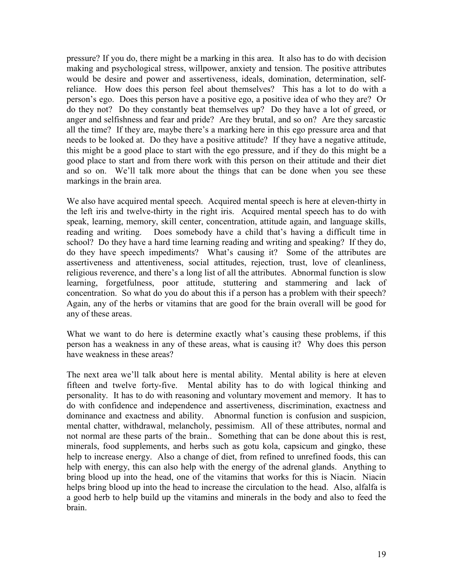pressure? If you do, there might be a marking in this area. It also has to do with decision making and psychological stress, willpower, anxiety and tension. The positive attributes would be desire and power and assertiveness, ideals, domination, determination, selfreliance. How does this person feel about themselves? This has a lot to do with a person's ego. Does this person have a positive ego, a positive idea of who they are? Or do they not? Do they constantly beat themselves up? Do they have a lot of greed, or anger and selfishness and fear and pride? Are they brutal, and so on? Are they sarcastic all the time? If they are, maybe there's a marking here in this ego pressure area and that needs to be looked at. Do they have a positive attitude? If they have a negative attitude, this might be a good place to start with the ego pressure, and if they do this might be a good place to start and from there work with this person on their attitude and their diet and so on. We'll talk more about the things that can be done when you see these markings in the brain area.

We also have acquired mental speech. Acquired mental speech is here at eleven-thirty in the left iris and twelve-thirty in the right iris. Acquired mental speech has to do with speak, learning, memory, skill center, concentration, attitude again, and language skills, reading and writing. Does somebody have a child that's having a difficult time in school? Do they have a hard time learning reading and writing and speaking? If they do, do they have speech impediments? What's causing it? Some of the attributes are assertiveness and attentiveness, social attitudes, rejection, trust, love of cleanliness, religious reverence, and there's a long list of all the attributes. Abnormal function is slow learning, forgetfulness, poor attitude, stuttering and stammering and lack of concentration. So what do you do about this if a person has a problem with their speech? Again, any of the herbs or vitamins that are good for the brain overall will be good for any of these areas.

What we want to do here is determine exactly what's causing these problems, if this person has a weakness in any of these areas, what is causing it? Why does this person have weakness in these areas?

The next area we'll talk about here is mental ability. Mental ability is here at eleven fifteen and twelve forty-five. Mental ability has to do with logical thinking and personality. It has to do with reasoning and voluntary movement and memory. It has to do with confidence and independence and assertiveness, discrimination, exactness and dominance and exactness and ability. Abnormal function is confusion and suspicion, mental chatter, withdrawal, melancholy, pessimism. All of these attributes, normal and not normal are these parts of the brain.. Something that can be done about this is rest, minerals, food supplements, and herbs such as gotu kola, capsicum and gingko, these help to increase energy. Also a change of diet, from refined to unrefined foods, this can help with energy, this can also help with the energy of the adrenal glands. Anything to bring blood up into the head, one of the vitamins that works for this is Niacin. Niacin helps bring blood up into the head to increase the circulation to the head. Also, alfalfa is a good herb to help build up the vitamins and minerals in the body and also to feed the brain.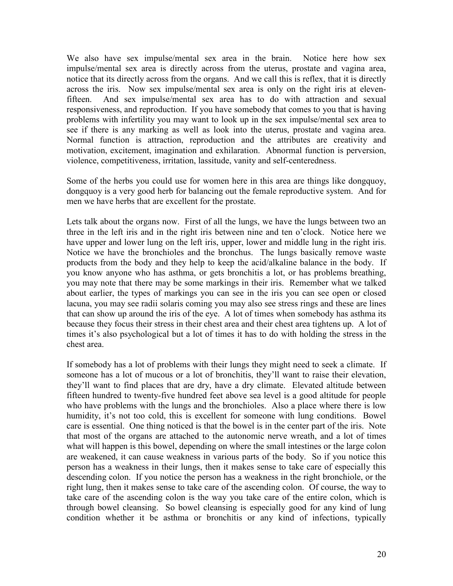We also have sex impulse/mental sex area in the brain. Notice here how sex impulse/mental sex area is directly across from the uterus, prostate and vagina area, notice that its directly across from the organs. And we call this is reflex, that it is directly across the iris. Now sex impulse/mental sex area is only on the right iris at elevenfifteen. And sex impulse/mental sex area has to do with attraction and sexual responsiveness, and reproduction. If you have somebody that comes to you that is having problems with infertility you may want to look up in the sex impulse/mental sex area to see if there is any marking as well as look into the uterus, prostate and vagina area. Normal function is attraction, reproduction and the attributes are creativity and motivation, excitement, imagination and exhilaration. Abnormal function is perversion, violence, competitiveness, irritation, lassitude, vanity and self-centeredness.

Some of the herbs you could use for women here in this area are things like dongquoy, dongquoy is a very good herb for balancing out the female reproductive system. And for men we have herbs that are excellent for the prostate.

Lets talk about the organs now. First of all the lungs, we have the lungs between two an three in the left iris and in the right iris between nine and ten o'clock. Notice here we have upper and lower lung on the left iris, upper, lower and middle lung in the right iris. Notice we have the bronchioles and the bronchus. The lungs basically remove waste products from the body and they help to keep the acid/alkaline balance in the body. If you know anyone who has asthma, or gets bronchitis a lot, or has problems breathing, you may note that there may be some markings in their iris. Remember what we talked about earlier, the types of markings you can see in the iris you can see open or closed lacuna, you may see radii solaris coming you may also see stress rings and these are lines that can show up around the iris of the eye. A lot of times when somebody has asthma its because they focus their stress in their chest area and their chest area tightens up. A lot of times it's also psychological but a lot of times it has to do with holding the stress in the chest area.

If somebody has a lot of problems with their lungs they might need to seek a climate. If someone has a lot of mucous or a lot of bronchitis, they'll want to raise their elevation, they'll want to find places that are dry, have a dry climate. Elevated altitude between fifteen hundred to twenty-five hundred feet above sea level is a good altitude for people who have problems with the lungs and the bronchioles. Also a place where there is low humidity, it's not too cold, this is excellent for someone with lung conditions. Bowel care is essential. One thing noticed is that the bowel is in the center part of the iris. Note that most of the organs are attached to the autonomic nerve wreath, and a lot of times what will happen is this bowel, depending on where the small intestines or the large colon are weakened, it can cause weakness in various parts of the body. So if you notice this person has a weakness in their lungs, then it makes sense to take care of especially this descending colon. If you notice the person has a weakness in the right bronchiole, or the right lung, then it makes sense to take care of the ascending colon. Of course, the way to take care of the ascending colon is the way you take care of the entire colon, which is through bowel cleansing. So bowel cleansing is especially good for any kind of lung condition whether it be asthma or bronchitis or any kind of infections, typically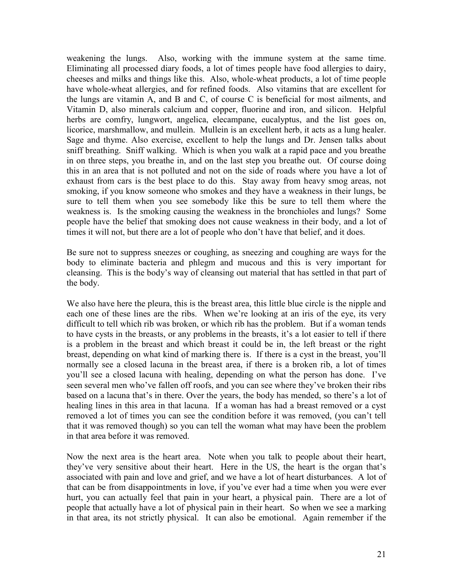weakening the lungs. Also, working with the immune system at the same time. Eliminating all processed diary foods, a lot of times people have food allergies to dairy, cheeses and milks and things like this. Also, whole-wheat products, a lot of time people have whole-wheat allergies, and for refined foods. Also vitamins that are excellent for the lungs are vitamin A, and B and C, of course C is beneficial for most ailments, and Vitamin D, also minerals calcium and copper, fluorine and iron, and silicon. Helpful herbs are comfry, lungwort, angelica, elecampane, eucalyptus, and the list goes on, licorice, marshmallow, and mullein. Mullein is an excellent herb, it acts as a lung healer. Sage and thyme. Also exercise, excellent to help the lungs and Dr. Jensen talks about sniff breathing. Sniff walking. Which is when you walk at a rapid pace and you breathe in on three steps, you breathe in, and on the last step you breathe out. Of course doing this in an area that is not polluted and not on the side of roads where you have a lot of exhaust from cars is the best place to do this. Stay away from heavy smog areas, not smoking, if you know someone who smokes and they have a weakness in their lungs, be sure to tell them when you see somebody like this be sure to tell them where the weakness is. Is the smoking causing the weakness in the bronchioles and lungs? Some people have the belief that smoking does not cause weakness in their body, and a lot of times it will not, but there are a lot of people who don't have that belief, and it does.

Be sure not to suppress sneezes or coughing, as sneezing and coughing are ways for the body to eliminate bacteria and phlegm and mucous and this is very important for cleansing. This is the body's way of cleansing out material that has settled in that part of the body.

We also have here the pleura, this is the breast area, this little blue circle is the nipple and each one of these lines are the ribs. When we're looking at an iris of the eye, its very difficult to tell which rib was broken, or which rib has the problem. But if a woman tends to have cysts in the breasts, or any problems in the breasts, it's a lot easier to tell if there is a problem in the breast and which breast it could be in, the left breast or the right breast, depending on what kind of marking there is. If there is a cyst in the breast, you'll normally see a closed lacuna in the breast area, if there is a broken rib, a lot of times you'll see a closed lacuna with healing, depending on what the person has done. I've seen several men who've fallen off roofs, and you can see where they've broken their ribs based on a lacuna that's in there. Over the years, the body has mended, so there's a lot of healing lines in this area in that lacuna. If a woman has had a breast removed or a cyst removed a lot of times you can see the condition before it was removed, (you can't tell that it was removed though) so you can tell the woman what may have been the problem in that area before it was removed.

Now the next area is the heart area. Note when you talk to people about their heart, they've very sensitive about their heart. Here in the US, the heart is the organ that's associated with pain and love and grief, and we have a lot of heart disturbances. A lot of that can be from disappointments in love, if you've ever had a time when you were ever hurt, you can actually feel that pain in your heart, a physical pain. There are a lot of people that actually have a lot of physical pain in their heart. So when we see a marking in that area, its not strictly physical. It can also be emotional. Again remember if the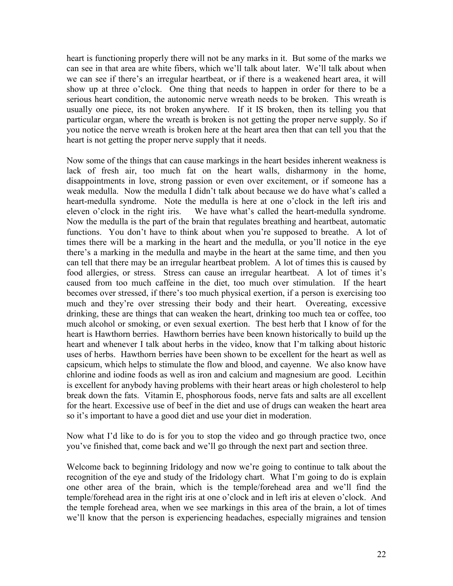heart is functioning properly there will not be any marks in it. But some of the marks we can see in that area are white fibers, which we'll talk about later. We'll talk about when we can see if there's an irregular heartbeat, or if there is a weakened heart area, it will show up at three o'clock. One thing that needs to happen in order for there to be a serious heart condition, the autonomic nerve wreath needs to be broken. This wreath is usually one piece, its not broken anywhere. If it IS broken, then its telling you that particular organ, where the wreath is broken is not getting the proper nerve supply. So if you notice the nerve wreath is broken here at the heart area then that can tell you that the heart is not getting the proper nerve supply that it needs.

Now some of the things that can cause markings in the heart besides inherent weakness is lack of fresh air, too much fat on the heart walls, disharmony in the home, disappointments in love, strong passion or even over excitement, or if someone has a weak medulla. Now the medulla I didn't talk about because we do have what's called a heart-medulla syndrome. Note the medulla is here at one o'clock in the left iris and eleven o'clock in the right iris. We have what's called the heart-medulla syndrome. Now the medulla is the part of the brain that regulates breathing and heartbeat, automatic functions. You don't have to think about when you're supposed to breathe. A lot of times there will be a marking in the heart and the medulla, or you'll notice in the eye there's a marking in the medulla and maybe in the heart at the same time, and then you can tell that there may be an irregular heartbeat problem. A lot of times this is caused by food allergies, or stress. Stress can cause an irregular heartbeat. A lot of times it's caused from too much caffeine in the diet, too much over stimulation. If the heart becomes over stressed, if there's too much physical exertion, if a person is exercising too much and they're over stressing their body and their heart. Overeating, excessive drinking, these are things that can weaken the heart, drinking too much tea or coffee, too much alcohol or smoking, or even sexual exertion. The best herb that I know of for the heart is Hawthorn berries. Hawthorn berries have been known historically to build up the heart and whenever I talk about herbs in the video, know that I'm talking about historic uses of herbs. Hawthorn berries have been shown to be excellent for the heart as well as capsicum, which helps to stimulate the flow and blood, and cayenne. We also know have chlorine and iodine foods as well as iron and calcium and magnesium are good. Lecithin is excellent for anybody having problems with their heart areas or high cholesterol to help break down the fats. Vitamin E, phosphorous foods, nerve fats and salts are all excellent for the heart. Excessive use of beef in the diet and use of drugs can weaken the heart area so it's important to have a good diet and use your diet in moderation.

Now what I'd like to do is for you to stop the video and go through practice two, once you've finished that, come back and we'll go through the next part and section three.

Welcome back to beginning Iridology and now we're going to continue to talk about the recognition of the eye and study of the Iridology chart. What I'm going to do is explain one other area of the brain, which is the temple/forehead area and we'll find the temple/forehead area in the right iris at one o'clock and in left iris at eleven o'clock. And the temple forehead area, when we see markings in this area of the brain, a lot of times we'll know that the person is experiencing headaches, especially migraines and tension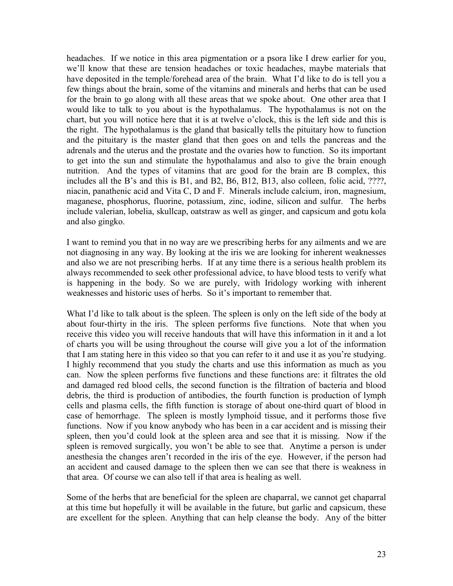headaches. If we notice in this area pigmentation or a psora like I drew earlier for you, we'll know that these are tension headaches or toxic headaches, maybe materials that have deposited in the temple/forehead area of the brain. What I'd like to do is tell you a few things about the brain, some of the vitamins and minerals and herbs that can be used for the brain to go along with all these areas that we spoke about. One other area that I would like to talk to you about is the hypothalamus. The hypothalamus is not on the chart, but you will notice here that it is at twelve o'clock, this is the left side and this is the right. The hypothalamus is the gland that basically tells the pituitary how to function and the pituitary is the master gland that then goes on and tells the pancreas and the adrenals and the uterus and the prostate and the ovaries how to function. So its important to get into the sun and stimulate the hypothalamus and also to give the brain enough nutrition. And the types of vitamins that are good for the brain are B complex, this includes all the B's and this is B1, and B2, B6, B12, B13, also colleen, folic acid, ????, niacin, panathenic acid and Vita C, D and F. Minerals include calcium, iron, magnesium, maganese, phosphorus, fluorine, potassium, zinc, iodine, silicon and sulfur. The herbs include valerian, lobelia, skullcap, oatstraw as well as ginger, and capsicum and gotu kola and also gingko.

I want to remind you that in no way are we prescribing herbs for any ailments and we are not diagnosing in any way. By looking at the iris we are looking for inherent weaknesses and also we are not prescribing herbs. If at any time there is a serious health problem its always recommended to seek other professional advice, to have blood tests to verify what is happening in the body. So we are purely, with Iridology working with inherent weaknesses and historic uses of herbs. So it's important to remember that.

What I'd like to talk about is the spleen. The spleen is only on the left side of the body at about four-thirty in the iris. The spleen performs five functions. Note that when you receive this video you will receive handouts that will have this information in it and a lot of charts you will be using throughout the course will give you a lot of the information that I am stating here in this video so that you can refer to it and use it as you're studying. I highly recommend that you study the charts and use this information as much as you can. Now the spleen performs five functions and these functions are: it filtrates the old and damaged red blood cells, the second function is the filtration of bacteria and blood debris, the third is production of antibodies, the fourth function is production of lymph cells and plasma cells, the fifth function is storage of about one-third quart of blood in case of hemorrhage. The spleen is mostly lymphoid tissue, and it performs those five functions. Now if you know anybody who has been in a car accident and is missing their spleen, then you'd could look at the spleen area and see that it is missing. Now if the spleen is removed surgically, you won't be able to see that. Anytime a person is under anesthesia the changes aren't recorded in the iris of the eye. However, if the person had an accident and caused damage to the spleen then we can see that there is weakness in that area. Of course we can also tell if that area is healing as well.

Some of the herbs that are beneficial for the spleen are chaparral, we cannot get chaparral at this time but hopefully it will be available in the future, but garlic and capsicum, these are excellent for the spleen. Anything that can help cleanse the body. Any of the bitter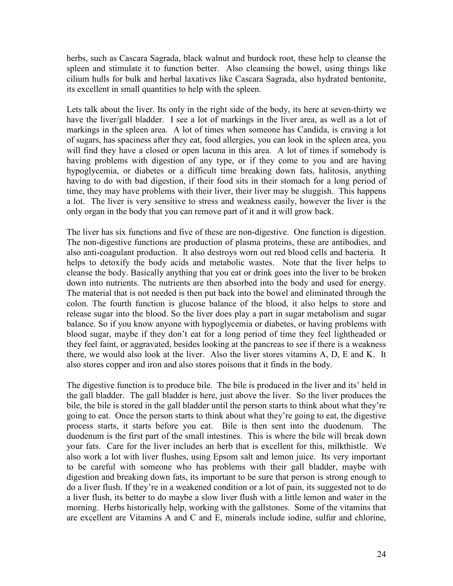herbs, such as Cascara Sagrada, black walnut and burdock root, these help to cleanse the spleen and stimulate it to function better. Also cleansing the bowel, using things like cilium hulls for bulk and herbal laxatives like Cascara Sagrada, also hydrated bentonite, its excellent in small quantities to help with the spleen.

Lets talk about the liver. Its only in the right side of the body, its here at seven-thirty we have the liver/gall bladder. I see a lot of markings in the liver area, as well as a lot of markings in the spleen area. A lot of times when someone has Candida, is craving a lot of sugars, has spaciness after they eat, food allergies, you can look in the spleen area, you will find they have a closed or open lacuna in this area. A lot of times if somebody is having problems with digestion of any type, or if they come to you and are having hypoglycemia, or diabetes or a difficult time breaking down fats, halitosis, anything having to do with bad digestion, if their food sits in their stomach for a long period of time, they may have problems with their liver, their liver may be sluggish. This happens a lot. The liver is very sensitive to stress and weakness easily, however the liver is the only organ in the body that you can remove part of it and it will grow back.

The liver has six functions and five of these are non-digestive. One function is digestion. The non-digestive functions are production of plasma proteins, these are antibodies, and also anti-coagulant production. It also destroys worn out red blood cells and bacteria. It helps to detoxify the body acids and metabolic wastes. Note that the liver helps to cleanse the body. Basically anything that you eat or drink goes into the liver to be broken down into nutrients. The nutrients are then absorbed into the body and used for energy. The material that is not needed is then put back into the bowel and eliminated through the colon. The fourth function is glucose balance of the blood, it also helps to store and release sugar into the blood. So the liver does play a part in sugar metabolism and sugar balance. So if you know anyone with hypoglycemia or diabetes, or having problems with blood sugar, maybe if they don't eat for a long period of time they feel lightheaded or they feel faint, or aggravated, besides looking at the pancreas to see if there is a weakness there, we would also look at the liver. Also the liver stores vitamins A, D, E and K. It also stores copper and iron and also stores poisons that it finds in the body.

The digestive function is to produce bile. The bile is produced in the liver and its' held in the gall bladder. The gall bladder is here, just above the liver. So the liver produces the bile, the bile is stored in the gall bladder until the person starts to think about what they're going to eat. Once the person starts to think about what they're going to eat, the digestive process starts, it starts before you eat. Bile is then sent into the duodenum. The duodenum is the first part of the small intestines. This is where the bile will break down your fats. Care for the liver includes an herb that is excellent for this, milkthistle. We also work a lot with liver flushes, using Epsom salt and lemon juice. Its very important to be careful with someone who has problems with their gall bladder, maybe with digestion and breaking down fats, its important to be sure that person is strong enough to do a liver flush. If they're in a weakened condition or a lot of pain, its suggested not to do a liver flush, its better to do maybe a slow liver flush with a little lemon and water in the morning. Herbs historically help, working with the gallstones. Some of the vitamins that are excellent are Vitamins A and C and E, minerals include iodine, sulfur and chlorine,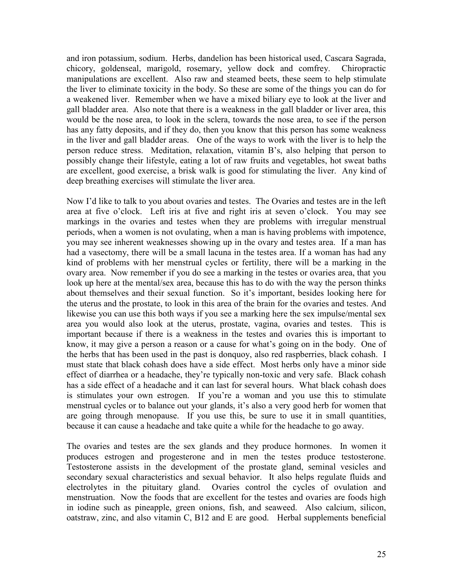and iron potassium, sodium. Herbs, dandelion has been historical used, Cascara Sagrada, chicory, goldenseal, marigold, rosemary, yellow dock and comfrey. Chiropractic manipulations are excellent. Also raw and steamed beets, these seem to help stimulate the liver to eliminate toxicity in the body. So these are some of the things you can do for a weakened liver. Remember when we have a mixed biliary eye to look at the liver and gall bladder area. Also note that there is a weakness in the gall bladder or liver area, this would be the nose area, to look in the sclera, towards the nose area, to see if the person has any fatty deposits, and if they do, then you know that this person has some weakness in the liver and gall bladder areas. One of the ways to work with the liver is to help the person reduce stress. Meditation, relaxation, vitamin B's, also helping that person to possibly change their lifestyle, eating a lot of raw fruits and vegetables, hot sweat baths are excellent, good exercise, a brisk walk is good for stimulating the liver. Any kind of deep breathing exercises will stimulate the liver area.

Now I'd like to talk to you about ovaries and testes. The Ovaries and testes are in the left area at five o'clock. Left iris at five and right iris at seven o'clock. You may see markings in the ovaries and testes when they are problems with irregular menstrual periods, when a women is not ovulating, when a man is having problems with impotence, you may see inherent weaknesses showing up in the ovary and testes area. If a man has had a vasectomy, there will be a small lacuna in the testes area. If a woman has had any kind of problems with her menstrual cycles or fertility, there will be a marking in the ovary area. Now remember if you do see a marking in the testes or ovaries area, that you look up here at the mental/sex area, because this has to do with the way the person thinks about themselves and their sexual function. So it's important, besides looking here for the uterus and the prostate, to look in this area of the brain for the ovaries and testes. And likewise you can use this both ways if you see a marking here the sex impulse/mental sex area you would also look at the uterus, prostate, vagina, ovaries and testes. This is important because if there is a weakness in the testes and ovaries this is important to know, it may give a person a reason or a cause for what's going on in the body. One of the herbs that has been used in the past is donquoy, also red raspberries, black cohash. I must state that black cohash does have a side effect. Most herbs only have a minor side effect of diarrhea or a headache, they're typically non-toxic and very safe. Black cohash has a side effect of a headache and it can last for several hours. What black cohash does is stimulates your own estrogen. If you're a woman and you use this to stimulate menstrual cycles or to balance out your glands, it's also a very good herb for women that are going through menopause. If you use this, be sure to use it in small quantities, because it can cause a headache and take quite a while for the headache to go away.

The ovaries and testes are the sex glands and they produce hormones. In women it produces estrogen and progesterone and in men the testes produce testosterone. Testosterone assists in the development of the prostate gland, seminal vesicles and secondary sexual characteristics and sexual behavior. It also helps regulate fluids and electrolytes in the pituitary gland. Ovaries control the cycles of ovulation and menstruation. Now the foods that are excellent for the testes and ovaries are foods high in iodine such as pineapple, green onions, fish, and seaweed. Also calcium, silicon, oatstraw, zinc, and also vitamin C, B12 and E are good. Herbal supplements beneficial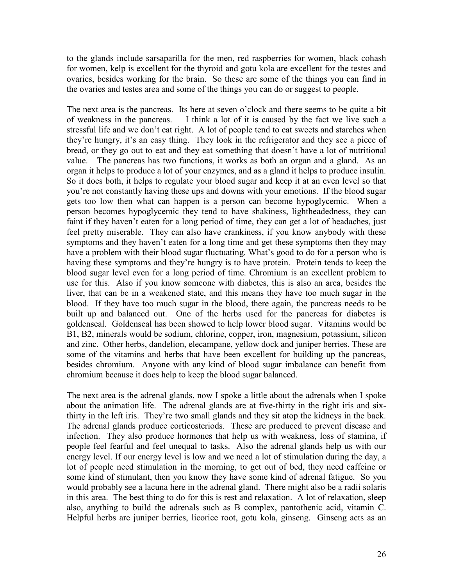to the glands include sarsaparilla for the men, red raspberries for women, black cohash for women, kelp is excellent for the thyroid and gotu kola are excellent for the testes and ovaries, besides working for the brain. So these are some of the things you can find in the ovaries and testes area and some of the things you can do or suggest to people.

The next area is the pancreas. Its here at seven o'clock and there seems to be quite a bit of weakness in the pancreas. I think a lot of it is caused by the fact we live such a stressful life and we don't eat right. A lot of people tend to eat sweets and starches when they're hungry, it's an easy thing. They look in the refrigerator and they see a piece of bread, or they go out to eat and they eat something that doesn't have a lot of nutritional value. The pancreas has two functions, it works as both an organ and a gland. As an organ it helps to produce a lot of your enzymes, and as a gland it helps to produce insulin. So it does both, it helps to regulate your blood sugar and keep it at an even level so that you're not constantly having these ups and downs with your emotions. If the blood sugar gets too low then what can happen is a person can become hypoglycemic. When a person becomes hypoglycemic they tend to have shakiness, lightheadedness, they can faint if they haven't eaten for a long period of time, they can get a lot of headaches, just feel pretty miserable. They can also have crankiness, if you know anybody with these symptoms and they haven't eaten for a long time and get these symptoms then they may have a problem with their blood sugar fluctuating. What's good to do for a person who is having these symptoms and they're hungry is to have protein. Protein tends to keep the blood sugar level even for a long period of time. Chromium is an excellent problem to use for this. Also if you know someone with diabetes, this is also an area, besides the liver, that can be in a weakened state, and this means they have too much sugar in the blood. If they have too much sugar in the blood, there again, the pancreas needs to be built up and balanced out. One of the herbs used for the pancreas for diabetes is goldenseal. Goldenseal has been showed to help lower blood sugar. Vitamins would be B1, B2, minerals would be sodium, chlorine, copper, iron, magnesium, potassium, silicon and zinc. Other herbs, dandelion, elecampane, yellow dock and juniper berries. These are some of the vitamins and herbs that have been excellent for building up the pancreas, besides chromium. Anyone with any kind of blood sugar imbalance can benefit from chromium because it does help to keep the blood sugar balanced.

The next area is the adrenal glands, now I spoke a little about the adrenals when I spoke about the animation life. The adrenal glands are at five-thirty in the right iris and sixthirty in the left iris. They're two small glands and they sit atop the kidneys in the back. The adrenal glands produce corticosteriods. These are produced to prevent disease and infection. They also produce hormones that help us with weakness, loss of stamina, if people feel fearful and feel unequal to tasks. Also the adrenal glands help us with our energy level. If our energy level is low and we need a lot of stimulation during the day, a lot of people need stimulation in the morning, to get out of bed, they need caffeine or some kind of stimulant, then you know they have some kind of adrenal fatigue. So you would probably see a lacuna here in the adrenal gland. There might also be a radii solaris in this area. The best thing to do for this is rest and relaxation. A lot of relaxation, sleep also, anything to build the adrenals such as B complex, pantothenic acid, vitamin C. Helpful herbs are juniper berries, licorice root, gotu kola, ginseng. Ginseng acts as an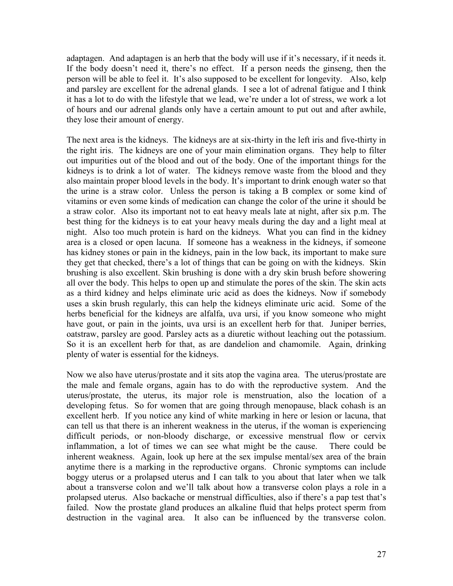adaptagen. And adaptagen is an herb that the body will use if it's necessary, if it needs it. If the body doesn't need it, there's no effect. If a person needs the ginseng, then the person will be able to feel it. It's also supposed to be excellent for longevity. Also, kelp and parsley are excellent for the adrenal glands. I see a lot of adrenal fatigue and I think it has a lot to do with the lifestyle that we lead, we're under a lot of stress, we work a lot of hours and our adrenal glands only have a certain amount to put out and after awhile, they lose their amount of energy.

The next area is the kidneys. The kidneys are at six-thirty in the left iris and five-thirty in the right iris. The kidneys are one of your main elimination organs. They help to filter out impurities out of the blood and out of the body. One of the important things for the kidneys is to drink a lot of water. The kidneys remove waste from the blood and they also maintain proper blood levels in the body. It's important to drink enough water so that the urine is a straw color. Unless the person is taking a B complex or some kind of vitamins or even some kinds of medication can change the color of the urine it should be a straw color. Also its important not to eat heavy meals late at night, after six p.m. The best thing for the kidneys is to eat your heavy meals during the day and a light meal at night. Also too much protein is hard on the kidneys. What you can find in the kidney area is a closed or open lacuna. If someone has a weakness in the kidneys, if someone has kidney stones or pain in the kidneys, pain in the low back, its important to make sure they get that checked, there's a lot of things that can be going on with the kidneys. Skin brushing is also excellent. Skin brushing is done with a dry skin brush before showering all over the body. This helps to open up and stimulate the pores of the skin. The skin acts as a third kidney and helps eliminate uric acid as does the kidneys. Now if somebody uses a skin brush regularly, this can help the kidneys eliminate uric acid. Some of the herbs beneficial for the kidneys are alfalfa, uva ursi, if you know someone who might have gout, or pain in the joints, uva ursi is an excellent herb for that. Juniper berries, oatstraw, parsley are good. Parsley acts as a diuretic without leaching out the potassium. So it is an excellent herb for that, as are dandelion and chamomile. Again, drinking plenty of water is essential for the kidneys.

Now we also have uterus/prostate and it sits atop the vagina area. The uterus/prostate are the male and female organs, again has to do with the reproductive system. And the uterus/prostate, the uterus, its major role is menstruation, also the location of a developing fetus. So for women that are going through menopause, black cohash is an excellent herb. If you notice any kind of white marking in here or lesion or lacuna, that can tell us that there is an inherent weakness in the uterus, if the woman is experiencing difficult periods, or non-bloody discharge, or excessive menstrual flow or cervix inflammation, a lot of times we can see what might be the cause. There could be inherent weakness. Again, look up here at the sex impulse mental/sex area of the brain anytime there is a marking in the reproductive organs. Chronic symptoms can include boggy uterus or a prolapsed uterus and I can talk to you about that later when we talk about a transverse colon and we'll talk about how a transverse colon plays a role in a prolapsed uterus. Also backache or menstrual difficulties, also if there's a pap test that's failed. Now the prostate gland produces an alkaline fluid that helps protect sperm from destruction in the vaginal area. It also can be influenced by the transverse colon.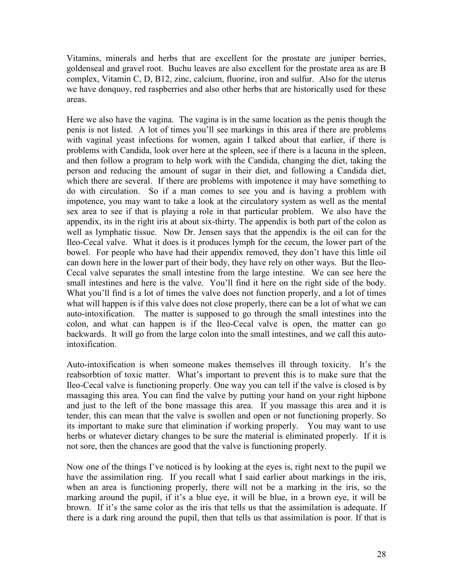Vitamins, minerals and herbs that are excellent for the prostate are juniper berries, goldenseal and gravel root. Buchu leaves are also excellent for the prostate area as are B complex, Vitamin C, D, B12, zinc, calcium, fluorine, iron and sulfur. Also for the uterus we have donquoy, red raspberries and also other herbs that are historically used for these areas.

Here we also have the vagina. The vagina is in the same location as the penis though the penis is not listed. A lot of times you'll see markings in this area if there are problems with vaginal yeast infections for women, again I talked about that earlier, if there is problems with Candida, look over here at the spleen, see if there is a lacuna in the spleen, and then follow a program to help work with the Candida, changing the diet, taking the person and reducing the amount of sugar in their diet, and following a Candida diet, which there are several. If there are problems with impotence it may have something to do with circulation. So if a man comes to see you and is having a problem with impotence, you may want to take a look at the circulatory system as well as the mental sex area to see if that is playing a role in that particular problem. We also have the appendix, its in the right iris at about six-thirty. The appendix is both part of the colon as well as lymphatic tissue. Now Dr. Jensen says that the appendix is the oil can for the Ileo-Cecal valve. What it does is it produces lymph for the cecum, the lower part of the bowel. For people who have had their appendix removed, they don't have this little oil can down here in the lower part of their body, they have rely on other ways. But the Ileo-Cecal valve separates the small intestine from the large intestine. We can see here the small intestines and here is the valve. You'll find it here on the right side of the body. What you'll find is a lot of times the valve does not function properly, and a lot of times what will happen is if this valve does not close properly, there can be a lot of what we can auto-intoxification. The matter is supposed to go through the small intestines into the colon, and what can happen is if the Ileo-Cecal valve is open, the matter can go backwards. It will go from the large colon into the small intestines, and we call this autointoxification.

Auto-intoxification is when someone makes themselves ill through toxicity. It's the reabsorbtion of toxic matter. What's important to prevent this is to make sure that the Ileo-Cecal valve is functioning properly. One way you can tell if the valve is closed is by massaging this area. You can find the valve by putting your hand on your right hipbone and just to the left of the bone massage this area. If you massage this area and it is tender, this can mean that the valve is swollen and open or not functioning properly. So its important to make sure that elimination if working properly. You may want to use herbs or whatever dietary changes to be sure the material is eliminated properly. If it is not sore, then the chances are good that the valve is functioning properly.

Now one of the things I've noticed is by looking at the eyes is, right next to the pupil we have the assimilation ring. If you recall what I said earlier about markings in the iris, when an area is functioning properly, there will not be a marking in the iris, so the marking around the pupil, if it's a blue eye, it will be blue, in a brown eye, it will be brown. If it's the same color as the iris that tells us that the assimilation is adequate. If there is a dark ring around the pupil, then that tells us that assimilation is poor. If that is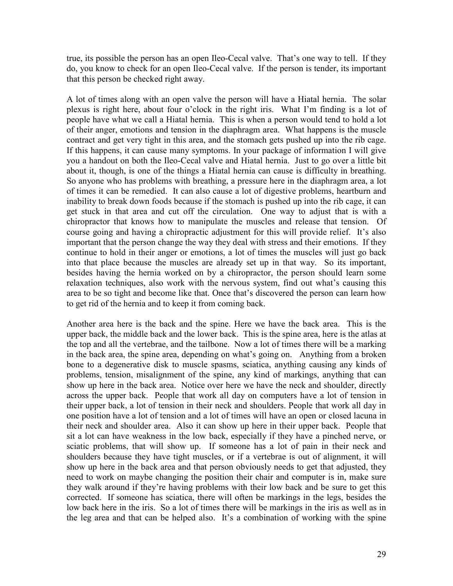true, its possible the person has an open Ileo-Cecal valve. That's one way to tell. If they do, you know to check for an open Ileo-Cecal valve. If the person is tender, its important that this person be checked right away.

A lot of times along with an open valve the person will have a Hiatal hernia. The solar plexus is right here, about four o'clock in the right iris. What I'm finding is a lot of people have what we call a Hiatal hernia. This is when a person would tend to hold a lot of their anger, emotions and tension in the diaphragm area. What happens is the muscle contract and get very tight in this area, and the stomach gets pushed up into the rib cage. If this happens, it can cause many symptoms. In your package of information I will give you a handout on both the Ileo-Cecal valve and Hiatal hernia. Just to go over a little bit about it, though, is one of the things a Hiatal hernia can cause is difficulty in breathing. So anyone who has problems with breathing, a pressure here in the diaphragm area, a lot of times it can be remedied. It can also cause a lot of digestive problems, heartburn and inability to break down foods because if the stomach is pushed up into the rib cage, it can get stuck in that area and cut off the circulation. One way to adjust that is with a chiropractor that knows how to manipulate the muscles and release that tension. Of course going and having a chiropractic adjustment for this will provide relief. It's also important that the person change the way they deal with stress and their emotions. If they continue to hold in their anger or emotions, a lot of times the muscles will just go back into that place because the muscles are already set up in that way. So its important, besides having the hernia worked on by a chiropractor, the person should learn some relaxation techniques, also work with the nervous system, find out what's causing this area to be so tight and become like that. Once that's discovered the person can learn how to get rid of the hernia and to keep it from coming back.

Another area here is the back and the spine. Here we have the back area. This is the upper back, the middle back and the lower back. This is the spine area, here is the atlas at the top and all the vertebrae, and the tailbone. Now a lot of times there will be a marking in the back area, the spine area, depending on what's going on. Anything from a broken bone to a degenerative disk to muscle spasms, sciatica, anything causing any kinds of problems, tension, misalignment of the spine, any kind of markings, anything that can show up here in the back area. Notice over here we have the neck and shoulder, directly across the upper back. People that work all day on computers have a lot of tension in their upper back, a lot of tension in their neck and shoulders. People that work all day in one position have a lot of tension and a lot of times will have an open or closed lacuna in their neck and shoulder area. Also it can show up here in their upper back. People that sit a lot can have weakness in the low back, especially if they have a pinched nerve, or sciatic problems, that will show up. If someone has a lot of pain in their neck and shoulders because they have tight muscles, or if a vertebrae is out of alignment, it will show up here in the back area and that person obviously needs to get that adjusted, they need to work on maybe changing the position their chair and computer is in, make sure they walk around if they're having problems with their low back and be sure to get this corrected. If someone has sciatica, there will often be markings in the legs, besides the low back here in the iris. So a lot of times there will be markings in the iris as well as in the leg area and that can be helped also. It's a combination of working with the spine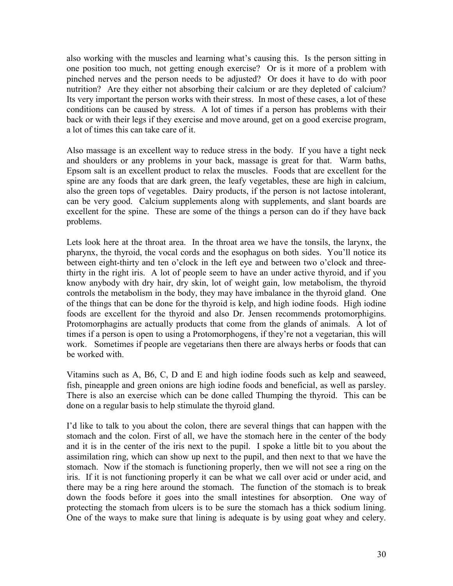also working with the muscles and learning what's causing this. Is the person sitting in one position too much, not getting enough exercise? Or is it more of a problem with pinched nerves and the person needs to be adjusted? Or does it have to do with poor nutrition? Are they either not absorbing their calcium or are they depleted of calcium? Its very important the person works with their stress. In most of these cases, a lot of these conditions can be caused by stress. A lot of times if a person has problems with their back or with their legs if they exercise and move around, get on a good exercise program, a lot of times this can take care of it.

Also massage is an excellent way to reduce stress in the body. If you have a tight neck and shoulders or any problems in your back, massage is great for that. Warm baths, Epsom salt is an excellent product to relax the muscles. Foods that are excellent for the spine are any foods that are dark green, the leafy vegetables, these are high in calcium, also the green tops of vegetables. Dairy products, if the person is not lactose intolerant, can be very good. Calcium supplements along with supplements, and slant boards are excellent for the spine. These are some of the things a person can do if they have back problems.

Lets look here at the throat area. In the throat area we have the tonsils, the larynx, the pharynx, the thyroid, the vocal cords and the esophagus on both sides. You'll notice its between eight-thirty and ten o'clock in the left eye and between two o'clock and threethirty in the right iris. A lot of people seem to have an under active thyroid, and if you know anybody with dry hair, dry skin, lot of weight gain, low metabolism, the thyroid controls the metabolism in the body, they may have imbalance in the thyroid gland. One of the things that can be done for the thyroid is kelp, and high iodine foods. High iodine foods are excellent for the thyroid and also Dr. Jensen recommends protomorphigins. Protomorphagins are actually products that come from the glands of animals. A lot of times if a person is open to using a Protomorphogens, if they're not a vegetarian, this will work. Sometimes if people are vegetarians then there are always herbs or foods that can be worked with.

Vitamins such as A, B6, C, D and E and high iodine foods such as kelp and seaweed, fish, pineapple and green onions are high iodine foods and beneficial, as well as parsley. There is also an exercise which can be done called Thumping the thyroid. This can be done on a regular basis to help stimulate the thyroid gland.

I'd like to talk to you about the colon, there are several things that can happen with the stomach and the colon. First of all, we have the stomach here in the center of the body and it is in the center of the iris next to the pupil. I spoke a little bit to you about the assimilation ring, which can show up next to the pupil, and then next to that we have the stomach. Now if the stomach is functioning properly, then we will not see a ring on the iris. If it is not functioning properly it can be what we call over acid or under acid, and there may be a ring here around the stomach. The function of the stomach is to break down the foods before it goes into the small intestines for absorption. One way of protecting the stomach from ulcers is to be sure the stomach has a thick sodium lining. One of the ways to make sure that lining is adequate is by using goat whey and celery.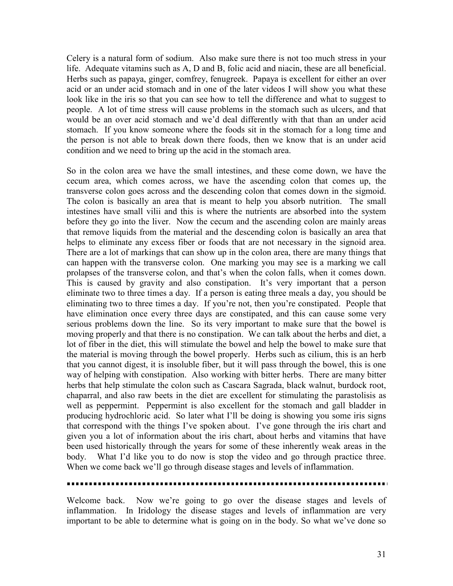Celery is a natural form of sodium. Also make sure there is not too much stress in your life. Adequate vitamins such as A, D and B, folic acid and niacin, these are all beneficial. Herbs such as papaya, ginger, comfrey, fenugreek. Papaya is excellent for either an over acid or an under acid stomach and in one of the later videos I will show you what these look like in the iris so that you can see how to tell the difference and what to suggest to people. A lot of time stress will cause problems in the stomach such as ulcers, and that would be an over acid stomach and we'd deal differently with that than an under acid stomach. If you know someone where the foods sit in the stomach for a long time and the person is not able to break down there foods, then we know that is an under acid condition and we need to bring up the acid in the stomach area.

So in the colon area we have the small intestines, and these come down, we have the cecum area, which comes across, we have the ascending colon that comes up, the transverse colon goes across and the descending colon that comes down in the sigmoid. The colon is basically an area that is meant to help you absorb nutrition. The small intestines have small vilii and this is where the nutrients are absorbed into the system before they go into the liver. Now the cecum and the ascending colon are mainly areas that remove liquids from the material and the descending colon is basically an area that helps to eliminate any excess fiber or foods that are not necessary in the signoid area. There are a lot of markings that can show up in the colon area, there are many things that can happen with the transverse colon. One marking you may see is a marking we call prolapses of the transverse colon, and that's when the colon falls, when it comes down. This is caused by gravity and also constipation. It's very important that a person eliminate two to three times a day. If a person is eating three meals a day, you should be eliminating two to three times a day. If you're not, then you're constipated. People that have elimination once every three days are constipated, and this can cause some very serious problems down the line. So its very important to make sure that the bowel is moving properly and that there is no constipation. We can talk about the herbs and diet, a lot of fiber in the diet, this will stimulate the bowel and help the bowel to make sure that the material is moving through the bowel properly. Herbs such as cilium, this is an herb that you cannot digest, it is insoluble fiber, but it will pass through the bowel, this is one way of helping with constipation. Also working with bitter herbs. There are many bitter herbs that help stimulate the colon such as Cascara Sagrada, black walnut, burdock root, chaparral, and also raw beets in the diet are excellent for stimulating the parastolisis as well as peppermint. Peppermint is also excellent for the stomach and gall bladder in producing hydrochloric acid. So later what I'll be doing is showing you some iris signs that correspond with the things I've spoken about. I've gone through the iris chart and given you a lot of information about the iris chart, about herbs and vitamins that have been used historically through the years for some of these inherently weak areas in the body. What I'd like you to do now is stop the video and go through practice three. When we come back we'll go through disease stages and levels of inflammation.

Welcome back. Now we're going to go over the disease stages and levels of inflammation. In Iridology the disease stages and levels of inflammation are very important to be able to determine what is going on in the body. So what we've done so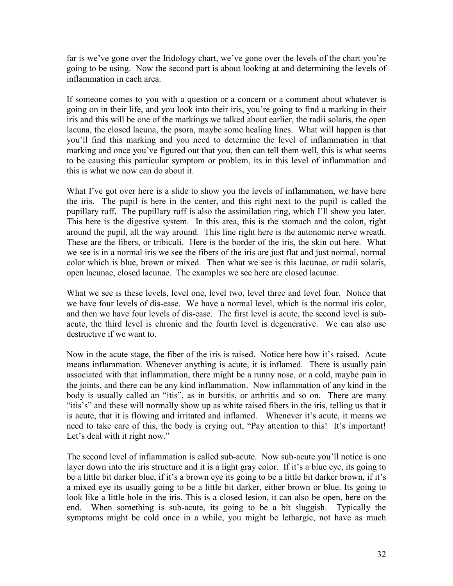far is we've gone over the Iridology chart, we've gone over the levels of the chart you're going to be using. Now the second part is about looking at and determining the levels of inflammation in each area.

If someone comes to you with a question or a concern or a comment about whatever is going on in their life, and you look into their iris, you're going to find a marking in their iris and this will be one of the markings we talked about earlier, the radii solaris, the open lacuna, the closed lacuna, the psora, maybe some healing lines. What will happen is that you'll find this marking and you need to determine the level of inflammation in that marking and once you've figured out that you, then can tell them well, this is what seems to be causing this particular symptom or problem, its in this level of inflammation and this is what we now can do about it.

What I've got over here is a slide to show you the levels of inflammation, we have here the iris. The pupil is here in the center, and this right next to the pupil is called the pupillary ruff. The pupillary ruff is also the assimilation ring, which I'll show you later. This here is the digestive system. In this area, this is the stomach and the colon, right around the pupil, all the way around. This line right here is the autonomic nerve wreath. These are the fibers, or tribiculi. Here is the border of the iris, the skin out here. What we see is in a normal iris we see the fibers of the iris are just flat and just normal, normal color which is blue, brown or mixed. Then what we see is this lacunae, or radii solaris, open lacunae, closed lacunae. The examples we see here are closed lacunae.

What we see is these levels, level one, level two, level three and level four. Notice that we have four levels of dis-ease. We have a normal level, which is the normal iris color, and then we have four levels of dis-ease. The first level is acute, the second level is subacute, the third level is chronic and the fourth level is degenerative. We can also use destructive if we want to.

Now in the acute stage, the fiber of the iris is raised. Notice here how it's raised. Acute means inflammation. Whenever anything is acute, it is inflamed. There is usually pain associated with that inflammation, there might be a runny nose, or a cold, maybe pain in the joints, and there can be any kind inflammation. Now inflammation of any kind in the body is usually called an "itis", as in bursitis, or arthritis and so on. There are many "itis's" and these will normally show up as white raised fibers in the iris, telling us that it is acute, that it is flowing and irritated and inflamed. Whenever it's acute, it means we need to take care of this, the body is crying out, "Pay attention to this! It's important! Let's deal with it right now."

The second level of inflammation is called sub-acute. Now sub-acute you'll notice is one layer down into the iris structure and it is a light gray color. If it's a blue eye, its going to be a little bit darker blue, if it's a brown eye its going to be a little bit darker brown, if it's a mixed eye its usually going to be a little bit darker, either brown or blue. Its going to look like a little hole in the iris. This is a closed lesion, it can also be open, here on the end. When something is sub-acute, its going to be a bit sluggish. Typically the symptoms might be cold once in a while, you might be lethargic, not have as much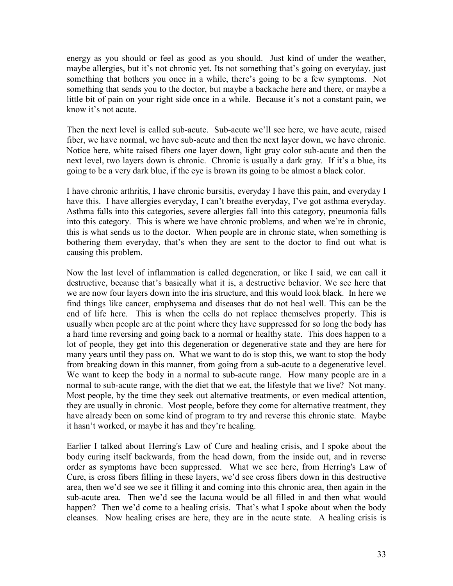energy as you should or feel as good as you should. Just kind of under the weather, maybe allergies, but it's not chronic yet. Its not something that's going on everyday, just something that bothers you once in a while, there's going to be a few symptoms. Not something that sends you to the doctor, but maybe a backache here and there, or maybe a little bit of pain on your right side once in a while. Because it's not a constant pain, we know it's not acute.

Then the next level is called sub-acute. Sub-acute we'll see here, we have acute, raised fiber, we have normal, we have sub-acute and then the next layer down, we have chronic. Notice here, white raised fibers one layer down, light gray color sub-acute and then the next level, two layers down is chronic. Chronic is usually a dark gray. If it's a blue, its going to be a very dark blue, if the eye is brown its going to be almost a black color.

I have chronic arthritis, I have chronic bursitis, everyday I have this pain, and everyday I have this. I have allergies everyday, I can't breathe everyday, I've got asthma everyday. Asthma falls into this categories, severe allergies fall into this category, pneumonia falls into this category. This is where we have chronic problems, and when we're in chronic, this is what sends us to the doctor. When people are in chronic state, when something is bothering them everyday, that's when they are sent to the doctor to find out what is causing this problem.

Now the last level of inflammation is called degeneration, or like I said, we can call it destructive, because that's basically what it is, a destructive behavior. We see here that we are now four layers down into the iris structure, and this would look black. In here we find things like cancer, emphysema and diseases that do not heal well. This can be the end of life here. This is when the cells do not replace themselves properly. This is usually when people are at the point where they have suppressed for so long the body has a hard time reversing and going back to a normal or healthy state. This does happen to a lot of people, they get into this degeneration or degenerative state and they are here for many years until they pass on. What we want to do is stop this, we want to stop the body from breaking down in this manner, from going from a sub-acute to a degenerative level. We want to keep the body in a normal to sub-acute range. How many people are in a normal to sub-acute range, with the diet that we eat, the lifestyle that we live? Not many. Most people, by the time they seek out alternative treatments, or even medical attention, they are usually in chronic. Most people, before they come for alternative treatment, they have already been on some kind of program to try and reverse this chronic state. Maybe it hasn't worked, or maybe it has and they're healing.

Earlier I talked about Herring's Law of Cure and healing crisis, and I spoke about the body curing itself backwards, from the head down, from the inside out, and in reverse order as symptoms have been suppressed. What we see here, from Herring's Law of Cure, is cross fibers filling in these layers, we'd see cross fibers down in this destructive area, then we'd see we see it filling it and coming into this chronic area, then again in the sub-acute area. Then we'd see the lacuna would be all filled in and then what would happen? Then we'd come to a healing crisis. That's what I spoke about when the body cleanses. Now healing crises are here, they are in the acute state. A healing crisis is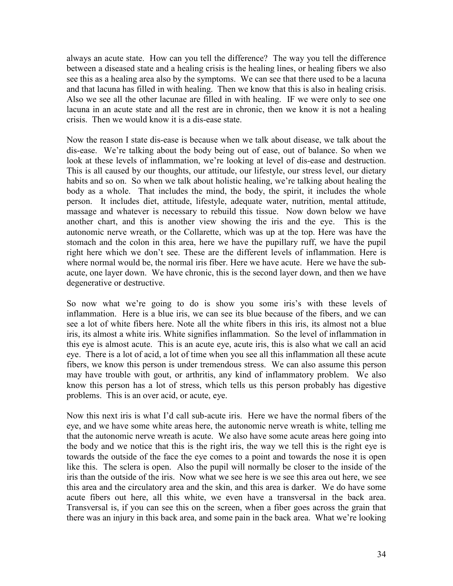always an acute state. How can you tell the difference? The way you tell the difference between a diseased state and a healing crisis is the healing lines, or healing fibers we also see this as a healing area also by the symptoms. We can see that there used to be a lacuna and that lacuna has filled in with healing. Then we know that this is also in healing crisis. Also we see all the other lacunae are filled in with healing. IF we were only to see one lacuna in an acute state and all the rest are in chronic, then we know it is not a healing crisis. Then we would know it is a dis-ease state.

Now the reason I state dis-ease is because when we talk about disease, we talk about the dis-ease. We're talking about the body being out of ease, out of balance. So when we look at these levels of inflammation, we're looking at level of dis-ease and destruction. This is all caused by our thoughts, our attitude, our lifestyle, our stress level, our dietary habits and so on. So when we talk about holistic healing, we're talking about healing the body as a whole. That includes the mind, the body, the spirit, it includes the whole person. It includes diet, attitude, lifestyle, adequate water, nutrition, mental attitude, massage and whatever is necessary to rebuild this tissue. Now down below we have another chart, and this is another view showing the iris and the eye. This is the autonomic nerve wreath, or the Collarette, which was up at the top. Here was have the stomach and the colon in this area, here we have the pupillary ruff, we have the pupil right here which we don't see. These are the different levels of inflammation. Here is where normal would be, the normal iris fiber. Here we have acute. Here we have the subacute, one layer down. We have chronic, this is the second layer down, and then we have degenerative or destructive.

So now what we're going to do is show you some iris's with these levels of inflammation. Here is a blue iris, we can see its blue because of the fibers, and we can see a lot of white fibers here. Note all the white fibers in this iris, its almost not a blue iris, its almost a white iris. White signifies inflammation. So the level of inflammation in this eye is almost acute. This is an acute eye, acute iris, this is also what we call an acid eye. There is a lot of acid, a lot of time when you see all this inflammation all these acute fibers, we know this person is under tremendous stress. We can also assume this person may have trouble with gout, or arthritis, any kind of inflammatory problem. We also know this person has a lot of stress, which tells us this person probably has digestive problems. This is an over acid, or acute, eye.

Now this next iris is what I'd call sub-acute iris. Here we have the normal fibers of the eye, and we have some white areas here, the autonomic nerve wreath is white, telling me that the autonomic nerve wreath is acute. We also have some acute areas here going into the body and we notice that this is the right iris, the way we tell this is the right eye is towards the outside of the face the eye comes to a point and towards the nose it is open like this. The sclera is open. Also the pupil will normally be closer to the inside of the iris than the outside of the iris. Now what we see here is we see this area out here, we see this area and the circulatory area and the skin, and this area is darker. We do have some acute fibers out here, all this white, we even have a transversal in the back area. Transversal is, if you can see this on the screen, when a fiber goes across the grain that there was an injury in this back area, and some pain in the back area. What we're looking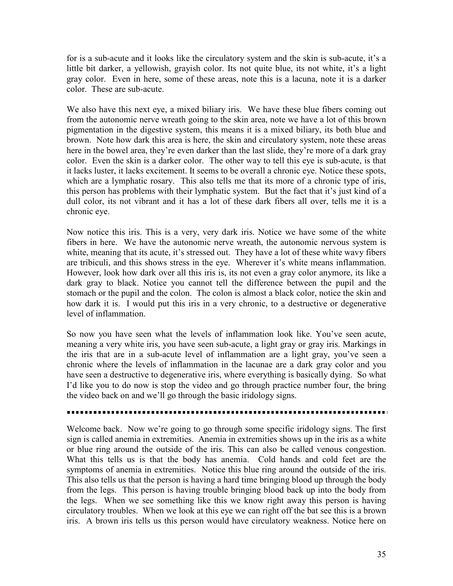for is a sub-acute and it looks like the circulatory system and the skin is sub-acute, it's a little bit darker, a yellowish, grayish color. Its not quite blue, its not white, it's a light gray color. Even in here, some of these areas, note this is a lacuna, note it is a darker color. These are sub-acute.

We also have this next eye, a mixed biliary iris. We have these blue fibers coming out from the autonomic nerve wreath going to the skin area, note we have a lot of this brown pigmentation in the digestive system, this means it is a mixed biliary, its both blue and brown. Note how dark this area is here, the skin and circulatory system, note these areas here in the bowel area, they're even darker than the last slide, they're more of a dark gray color. Even the skin is a darker color. The other way to tell this eye is sub-acute, is that it lacks luster, it lacks excitement. It seems to be overall a chronic eye. Notice these spots, which are a lymphatic rosary. This also tells me that its more of a chronic type of iris, this person has problems with their lymphatic system. But the fact that it's just kind of a dull color, its not vibrant and it has a lot of these dark fibers all over, tells me it is a chronic eye.

Now notice this iris. This is a very, very dark iris. Notice we have some of the white fibers in here. We have the autonomic nerve wreath, the autonomic nervous system is white, meaning that its acute, it's stressed out. They have a lot of these white wavy fibers are tribiculi, and this shows stress in the eye. Wherever it's white means inflammation. However, look how dark over all this iris is, its not even a gray color anymore, its like a dark gray to black. Notice you cannot tell the difference between the pupil and the stomach or the pupil and the colon. The colon is almost a black color, notice the skin and how dark it is. I would put this iris in a very chronic, to a destructive or degenerative level of inflammation.

So now you have seen what the levels of inflammation look like. You've seen acute, meaning a very white iris, you have seen sub-acute, a light gray or gray iris. Markings in the iris that are in a sub-acute level of inflammation are a light gray, you've seen a chronic where the levels of inflammation in the lacunae are a dark gray color and you have seen a destructive to degenerative iris, where everything is basically dying. So what I'd like you to do now is stop the video and go through practice number four, the bring the video back on and we'll go through the basic iridology signs.

Welcome back. Now we're going to go through some specific iridology signs. The first sign is called anemia in extremities. Anemia in extremities shows up in the iris as a white or blue ring around the outside of the iris. This can also be called venous congestion. What this tells us is that the body has anemia. Cold hands and cold feet are the symptoms of anemia in extremities. Notice this blue ring around the outside of the iris. This also tells us that the person is having a hard time bringing blood up through the body from the legs. This person is having trouble bringing blood back up into the body from the legs. When we see something like this we know right away this person is having circulatory troubles. When we look at this eye we can right off the bat see this is a brown iris. A brown iris tells us this person would have circulatory weakness. Notice here on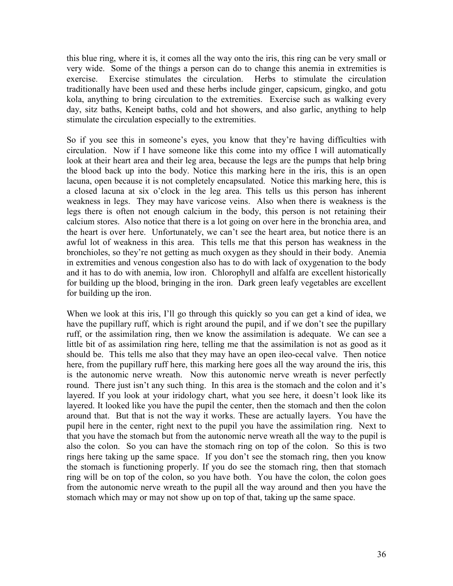this blue ring, where it is, it comes all the way onto the iris, this ring can be very small or very wide. Some of the things a person can do to change this anemia in extremities is exercise. Exercise stimulates the circulation. Herbs to stimulate the circulation traditionally have been used and these herbs include ginger, capsicum, gingko, and gotu kola, anything to bring circulation to the extremities. Exercise such as walking every day, sitz baths, Keneipt baths, cold and hot showers, and also garlic, anything to help stimulate the circulation especially to the extremities.

So if you see this in someone's eyes, you know that they're having difficulties with circulation. Now if I have someone like this come into my office I will automatically look at their heart area and their leg area, because the legs are the pumps that help bring the blood back up into the body. Notice this marking here in the iris, this is an open lacuna, open because it is not completely encapsulated. Notice this marking here, this is a closed lacuna at six o'clock in the leg area. This tells us this person has inherent weakness in legs. They may have varicose veins. Also when there is weakness is the legs there is often not enough calcium in the body, this person is not retaining their calcium stores. Also notice that there is a lot going on over here in the bronchia area, and the heart is over here. Unfortunately, we can't see the heart area, but notice there is an awful lot of weakness in this area. This tells me that this person has weakness in the bronchioles, so they're not getting as much oxygen as they should in their body. Anemia in extremities and venous congestion also has to do with lack of oxygenation to the body and it has to do with anemia, low iron. Chlorophyll and alfalfa are excellent historically for building up the blood, bringing in the iron. Dark green leafy vegetables are excellent for building up the iron.

When we look at this iris, I'll go through this quickly so you can get a kind of idea, we have the pupillary ruff, which is right around the pupil, and if we don't see the pupillary ruff, or the assimilation ring, then we know the assimilation is adequate. We can see a little bit of as assimilation ring here, telling me that the assimilation is not as good as it should be. This tells me also that they may have an open ileo-cecal valve. Then notice here, from the pupillary ruff here, this marking here goes all the way around the iris, this is the autonomic nerve wreath. Now this autonomic nerve wreath is never perfectly round. There just isn't any such thing. In this area is the stomach and the colon and it's layered. If you look at your iridology chart, what you see here, it doesn't look like its layered. It looked like you have the pupil the center, then the stomach and then the colon around that. But that is not the way it works. These are actually layers. You have the pupil here in the center, right next to the pupil you have the assimilation ring. Next to that you have the stomach but from the autonomic nerve wreath all the way to the pupil is also the colon. So you can have the stomach ring on top of the colon. So this is two rings here taking up the same space. If you don't see the stomach ring, then you know the stomach is functioning properly. If you do see the stomach ring, then that stomach ring will be on top of the colon, so you have both. You have the colon, the colon goes from the autonomic nerve wreath to the pupil all the way around and then you have the stomach which may or may not show up on top of that, taking up the same space.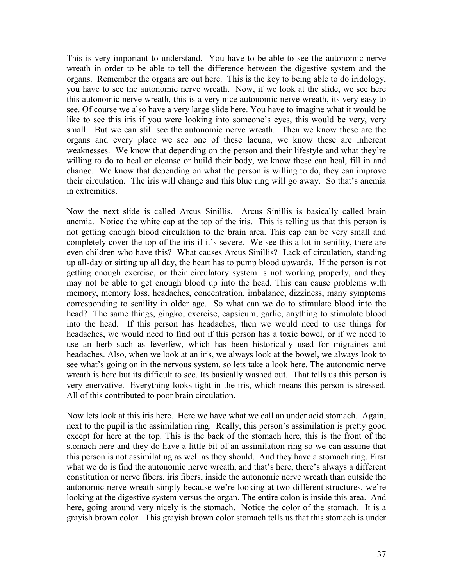This is very important to understand. You have to be able to see the autonomic nerve wreath in order to be able to tell the difference between the digestive system and the organs. Remember the organs are out here. This is the key to being able to do iridology, you have to see the autonomic nerve wreath. Now, if we look at the slide, we see here this autonomic nerve wreath, this is a very nice autonomic nerve wreath, its very easy to see. Of course we also have a very large slide here. You have to imagine what it would be like to see this iris if you were looking into someone's eyes, this would be very, very small. But we can still see the autonomic nerve wreath. Then we know these are the organs and every place we see one of these lacuna, we know these are inherent weaknesses. We know that depending on the person and their lifestyle and what they're willing to do to heal or cleanse or build their body, we know these can heal, fill in and change. We know that depending on what the person is willing to do, they can improve their circulation. The iris will change and this blue ring will go away. So that's anemia in extremities.

Now the next slide is called Arcus Sinillis. Arcus Sinillis is basically called brain anemia. Notice the white cap at the top of the iris. This is telling us that this person is not getting enough blood circulation to the brain area. This cap can be very small and completely cover the top of the iris if it's severe. We see this a lot in senility, there are even children who have this? What causes Arcus Sinillis? Lack of circulation, standing up all-day or sitting up all day, the heart has to pump blood upwards. If the person is not getting enough exercise, or their circulatory system is not working properly, and they may not be able to get enough blood up into the head. This can cause problems with memory, memory loss, headaches, concentration, imbalance, dizziness, many symptoms corresponding to senility in older age. So what can we do to stimulate blood into the head? The same things, gingko, exercise, capsicum, garlic, anything to stimulate blood into the head. If this person has headaches, then we would need to use things for headaches, we would need to find out if this person has a toxic bowel, or if we need to use an herb such as feverfew, which has been historically used for migraines and headaches. Also, when we look at an iris, we always look at the bowel, we always look to see what's going on in the nervous system, so lets take a look here. The autonomic nerve wreath is here but its difficult to see. Its basically washed out. That tells us this person is very enervative. Everything looks tight in the iris, which means this person is stressed. All of this contributed to poor brain circulation.

Now lets look at this iris here. Here we have what we call an under acid stomach. Again, next to the pupil is the assimilation ring. Really, this person's assimilation is pretty good except for here at the top. This is the back of the stomach here, this is the front of the stomach here and they do have a little bit of an assimilation ring so we can assume that this person is not assimilating as well as they should. And they have a stomach ring. First what we do is find the autonomic nerve wreath, and that's here, there's always a different constitution or nerve fibers, iris fibers, inside the autonomic nerve wreath than outside the autonomic nerve wreath simply because we're looking at two different structures, we're looking at the digestive system versus the organ. The entire colon is inside this area. And here, going around very nicely is the stomach. Notice the color of the stomach. It is a grayish brown color. This grayish brown color stomach tells us that this stomach is under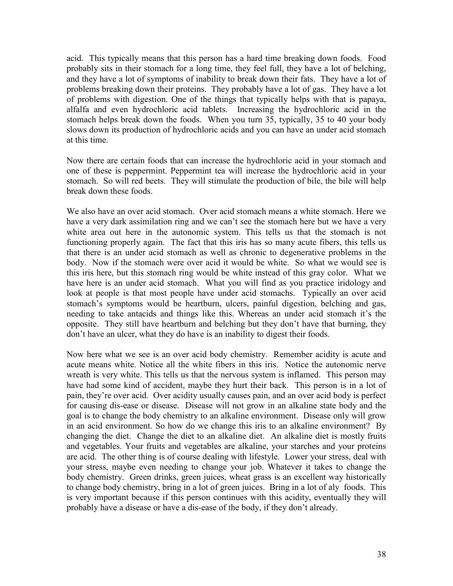acid. This typically means that this person has a hard time breaking down foods. Food probably sits in their stomach for a long time, they feel full, they have a lot of belching, and they have a lot of symptoms of inability to break down their fats. They have a lot of problems breaking down their proteins. They probably have a lot of gas. They have a lot of problems with digestion. One of the things that typically helps with that is papaya, alfalfa and even hydrochloric acid tablets. Increasing the hydrochloric acid in the stomach helps break down the foods. When you turn 35, typically, 35 to 40 your body slows down its production of hydrochloric acids and you can have an under acid stomach at this time.

Now there are certain foods that can increase the hydrochloric acid in your stomach and one of these is peppermint. Peppermint tea will increase the hydrochloric acid in your stomach. So will red beets. They will stimulate the production of bile, the bile will help break down these foods.

We also have an over acid stomach. Over acid stomach means a white stomach. Here we have a very dark assimilation ring and we can't see the stomach here but we have a very white area out here in the autonomic system. This tells us that the stomach is not functioning properly again. The fact that this iris has so many acute fibers, this tells us that there is an under acid stomach as well as chronic to degenerative problems in the body. Now if the stomach were over acid it would be white. So what we would see is this iris here, but this stomach ring would be white instead of this gray color. What we have here is an under acid stomach. What you will find as you practice iridology and look at people is that most people have under acid stomachs. Typically an over acid stomach's symptoms would be heartburn, ulcers, painful digestion, belching and gas, needing to take antacids and things like this. Whereas an under acid stomach it's the opposite. They still have heartburn and belching but they don't have that burning, they don't have an ulcer, what they do have is an inability to digest their foods.

Now here what we see is an over acid body chemistry. Remember acidity is acute and acute means white. Notice all the white fibers in this iris. Notice the autonomic nerve wreath is very white. This tells us that the nervous system is inflamed. This person may have had some kind of accident, maybe they hurt their back. This person is in a lot of pain, they're over acid. Over acidity usually causes pain, and an over acid body is perfect for causing dis-ease or disease. Disease will not grow in an alkaline state body and the goal is to change the body chemistry to an alkaline environment. Disease only will grow in an acid environment. So how do we change this iris to an alkaline environment? By changing the diet. Change the diet to an alkaline diet. An alkaline diet is mostly fruits and vegetables. Your fruits and vegetables are alkaline, your starches and your proteins are acid. The other thing is of course dealing with lifestyle. Lower your stress, deal with your stress, maybe even needing to change your job. Whatever it takes to change the body chemistry. Green drinks, green juices, wheat grass is an excellent way historically to change body chemistry, bring in a lot of green juices. Bring in a lot of aly foods. This is very important because if this person continues with this acidity, eventually they will probably have a disease or have a dis-ease of the body, if they don't already.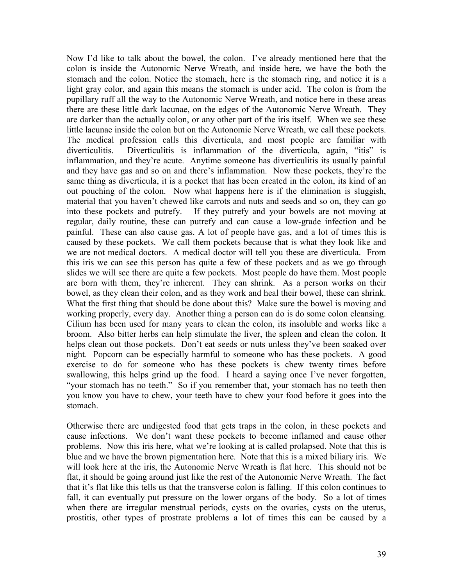Now I'd like to talk about the bowel, the colon. I've already mentioned here that the colon is inside the Autonomic Nerve Wreath, and inside here, we have the both the stomach and the colon. Notice the stomach, here is the stomach ring, and notice it is a light gray color, and again this means the stomach is under acid. The colon is from the pupillary ruff all the way to the Autonomic Nerve Wreath, and notice here in these areas there are these little dark lacunae, on the edges of the Autonomic Nerve Wreath. They are darker than the actually colon, or any other part of the iris itself. When we see these little lacunae inside the colon but on the Autonomic Nerve Wreath, we call these pockets. The medical profession calls this diverticula, and most people are familiar with diverticulitis. Diverticulitis is inflammation of the diverticula, again, "itis" is inflammation, and they're acute. Anytime someone has diverticulitis its usually painful and they have gas and so on and there's inflammation. Now these pockets, they're the same thing as diverticula, it is a pocket that has been created in the colon, its kind of an out pouching of the colon. Now what happens here is if the elimination is sluggish, material that you haven't chewed like carrots and nuts and seeds and so on, they can go into these pockets and putrefy. If they putrefy and your bowels are not moving at regular, daily routine, these can putrefy and can cause a low-grade infection and be painful. These can also cause gas. A lot of people have gas, and a lot of times this is caused by these pockets. We call them pockets because that is what they look like and we are not medical doctors. A medical doctor will tell you these are diverticula. From this iris we can see this person has quite a few of these pockets and as we go through slides we will see there are quite a few pockets. Most people do have them. Most people are born with them, they're inherent. They can shrink. As a person works on their bowel, as they clean their colon, and as they work and heal their bowel, these can shrink. What the first thing that should be done about this? Make sure the bowel is moving and working properly, every day. Another thing a person can do is do some colon cleansing. Cilium has been used for many years to clean the colon, its insoluble and works like a broom. Also bitter herbs can help stimulate the liver, the spleen and clean the colon. It helps clean out those pockets. Don't eat seeds or nuts unless they've been soaked over night. Popcorn can be especially harmful to someone who has these pockets. A good exercise to do for someone who has these pockets is chew twenty times before swallowing, this helps grind up the food. I heard a saying once I've never forgotten, "your stomach has no teeth." So if you remember that, your stomach has no teeth then you know you have to chew, your teeth have to chew your food before it goes into the stomach.

Otherwise there are undigested food that gets traps in the colon, in these pockets and cause infections. We don't want these pockets to become inflamed and cause other problems. Now this iris here, what we're looking at is called prolapsed. Note that this is blue and we have the brown pigmentation here. Note that this is a mixed biliary iris. We will look here at the iris, the Autonomic Nerve Wreath is flat here. This should not be flat, it should be going around just like the rest of the Autonomic Nerve Wreath. The fact that it's flat like this tells us that the transverse colon is falling. If this colon continues to fall, it can eventually put pressure on the lower organs of the body. So a lot of times when there are irregular menstrual periods, cysts on the ovaries, cysts on the uterus, prostitis, other types of prostrate problems a lot of times this can be caused by a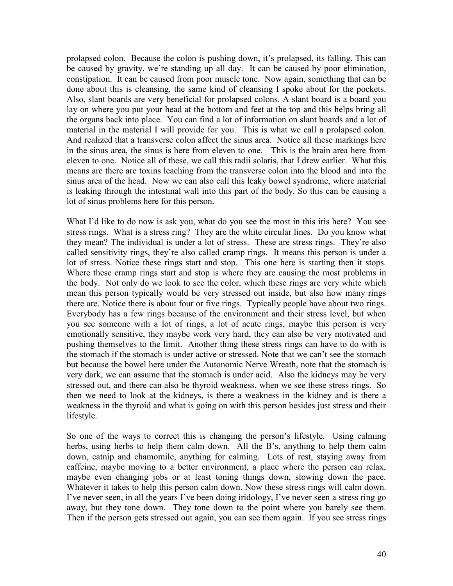prolapsed colon. Because the colon is pushing down, it's prolapsed, its falling. This can be caused by gravity, we're standing up all day. It can be caused by poor elimination, constipation. It can be caused from poor muscle tone. Now again, something that can be done about this is cleansing, the same kind of cleansing I spoke about for the pockets. Also, slant boards are very beneficial for prolapsed colons. A slant board is a board you lay on where you put your head at the bottom and feet at the top and this helps bring all the organs back into place. You can find a lot of information on slant boards and a lot of material in the material I will provide for you. This is what we call a prolapsed colon. And realized that a transverse colon affect the sinus area. Notice all these markings here in the sinus area, the sinus is here from eleven to one. This is the brain area here from eleven to one. Notice all of these, we call this radii solaris, that I drew earlier. What this means are there are toxins leaching from the transverse colon into the blood and into the sinus area of the head. Now we can also call this leaky bowel syndrome, where material is leaking through the intestinal wall into this part of the body. So this can be causing a lot of sinus problems here for this person.

What I'd like to do now is ask you, what do you see the most in this iris here? You see stress rings. What is a stress ring? They are the white circular lines. Do you know what they mean? The individual is under a lot of stress. These are stress rings. They're also called sensitivity rings, they're also called cramp rings. It means this person is under a lot of stress. Notice these rings start and stop. This one here is starting then it stops. Where these cramp rings start and stop is where they are causing the most problems in the body. Not only do we look to see the color, which these rings are very white which mean this person typically would be very stressed out inside, but also how many rings there are. Notice there is about four or five rings. Typically people have about two rings. Everybody has a few rings because of the environment and their stress level, but when you see someone with a lot of rings, a lot of acute rings, maybe this person is very emotionally sensitive, they maybe work very hard, they can also be very motivated and pushing themselves to the limit. Another thing these stress rings can have to do with is the stomach if the stomach is under active or stressed. Note that we can't see the stomach but because the bowel here under the Autonomic Nerve Wreath, note that the stomach is very dark, we can assume that the stomach is under acid. Also the kidneys may be very stressed out, and there can also be thyroid weakness, when we see these stress rings. So then we need to look at the kidneys, is there a weakness in the kidney and is there a weakness in the thyroid and what is going on with this person besides just stress and their lifestyle.

So one of the ways to correct this is changing the person's lifestyle. Using calming herbs, using herbs to help them calm down. All the B's, anything to help them calm down, catnip and chamomile, anything for calming. Lots of rest, staying away from caffeine, maybe moving to a better environment, a place where the person can relax, maybe even changing jobs or at least toning things down, slowing down the pace. Whatever it takes to help this person calm down. Now these stress rings will calm down. I've never seen, in all the years I've been doing iridology, I've never seen a stress ring go away, but they tone down. They tone down to the point where you barely see them. Then if the person gets stressed out again, you can see them again. If you see stress rings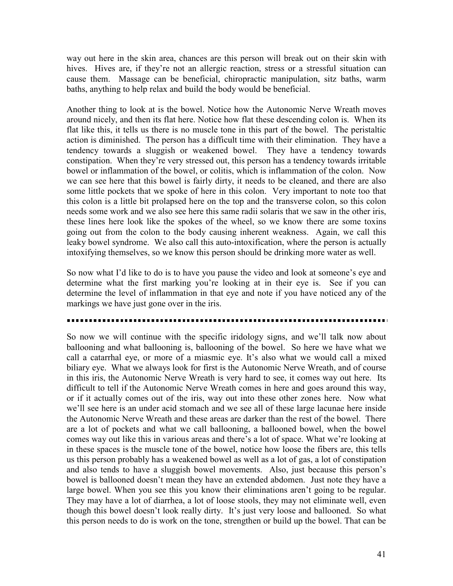way out here in the skin area, chances are this person will break out on their skin with hives. Hives are, if they're not an allergic reaction, stress or a stressful situation can cause them. Massage can be beneficial, chiropractic manipulation, sitz baths, warm baths, anything to help relax and build the body would be beneficial.

Another thing to look at is the bowel. Notice how the Autonomic Nerve Wreath moves around nicely, and then its flat here. Notice how flat these descending colon is. When its flat like this, it tells us there is no muscle tone in this part of the bowel. The peristaltic action is diminished. The person has a difficult time with their elimination. They have a tendency towards a sluggish or weakened bowel. They have a tendency towards constipation. When they're very stressed out, this person has a tendency towards irritable bowel or inflammation of the bowel, or colitis, which is inflammation of the colon. Now we can see here that this bowel is fairly dirty, it needs to be cleaned, and there are also some little pockets that we spoke of here in this colon. Very important to note too that this colon is a little bit prolapsed here on the top and the transverse colon, so this colon needs some work and we also see here this same radii solaris that we saw in the other iris, these lines here look like the spokes of the wheel, so we know there are some toxins going out from the colon to the body causing inherent weakness. Again, we call this leaky bowel syndrome. We also call this auto-intoxification, where the person is actually intoxifying themselves, so we know this person should be drinking more water as well.

So now what I'd like to do is to have you pause the video and look at someone's eye and determine what the first marking you're looking at in their eye is. See if you can determine the level of inflammation in that eye and note if you have noticed any of the markings we have just gone over in the iris.

So now we will continue with the specific iridology signs, and we'll talk now about ballooning and what ballooning is, ballooning of the bowel. So here we have what we call a catarrhal eye, or more of a miasmic eye. It's also what we would call a mixed biliary eye. What we always look for first is the Autonomic Nerve Wreath, and of course in this iris, the Autonomic Nerve Wreath is very hard to see, it comes way out here. Its difficult to tell if the Autonomic Nerve Wreath comes in here and goes around this way, or if it actually comes out of the iris, way out into these other zones here. Now what we'll see here is an under acid stomach and we see all of these large lacunae here inside the Autonomic Nerve Wreath and these areas are darker than the rest of the bowel. There are a lot of pockets and what we call ballooning, a ballooned bowel, when the bowel comes way out like this in various areas and there's a lot of space. What we're looking at in these spaces is the muscle tone of the bowel, notice how loose the fibers are, this tells us this person probably has a weakened bowel as well as a lot of gas, a lot of constipation and also tends to have a sluggish bowel movements. Also, just because this person's bowel is ballooned doesn't mean they have an extended abdomen. Just note they have a large bowel. When you see this you know their eliminations aren't going to be regular. They may have a lot of diarrhea, a lot of loose stools, they may not eliminate well, even though this bowel doesn't look really dirty. It's just very loose and ballooned. So what this person needs to do is work on the tone, strengthen or build up the bowel. That can be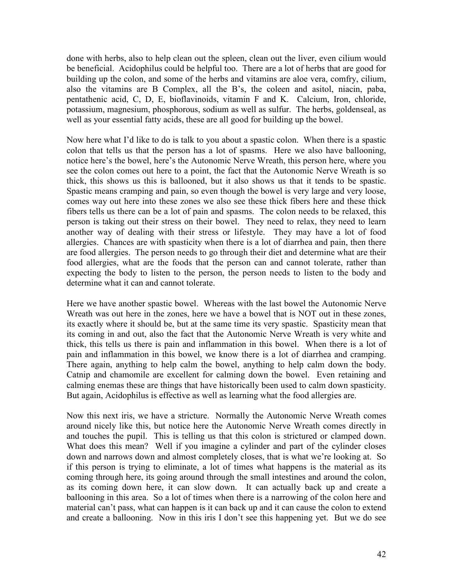done with herbs, also to help clean out the spleen, clean out the liver, even cilium would be beneficial. Acidophilus could be helpful too. There are a lot of herbs that are good for building up the colon, and some of the herbs and vitamins are aloe vera, comfry, cilium, also the vitamins are B Complex, all the B's, the coleen and asitol, niacin, paba, pentathenic acid, C, D, E, bioflavinoids, vitamin F and K. Calcium, Iron, chloride, potassium, magnesium, phosphorous, sodium as well as sulfur. The herbs, goldenseal, as well as your essential fatty acids, these are all good for building up the bowel.

Now here what I'd like to do is talk to you about a spastic colon. When there is a spastic colon that tells us that the person has a lot of spasms. Here we also have ballooning, notice here's the bowel, here's the Autonomic Nerve Wreath, this person here, where you see the colon comes out here to a point, the fact that the Autonomic Nerve Wreath is so thick, this shows us this is ballooned, but it also shows us that it tends to be spastic. Spastic means cramping and pain, so even though the bowel is very large and very loose, comes way out here into these zones we also see these thick fibers here and these thick fibers tells us there can be a lot of pain and spasms. The colon needs to be relaxed, this person is taking out their stress on their bowel. They need to relax, they need to learn another way of dealing with their stress or lifestyle. They may have a lot of food allergies. Chances are with spasticity when there is a lot of diarrhea and pain, then there are food allergies. The person needs to go through their diet and determine what are their food allergies, what are the foods that the person can and cannot tolerate, rather than expecting the body to listen to the person, the person needs to listen to the body and determine what it can and cannot tolerate.

Here we have another spastic bowel. Whereas with the last bowel the Autonomic Nerve Wreath was out here in the zones, here we have a bowel that is NOT out in these zones, its exactly where it should be, but at the same time its very spastic. Spasticity mean that its coming in and out, also the fact that the Autonomic Nerve Wreath is very white and thick, this tells us there is pain and inflammation in this bowel. When there is a lot of pain and inflammation in this bowel, we know there is a lot of diarrhea and cramping. There again, anything to help calm the bowel, anything to help calm down the body. Catnip and chamomile are excellent for calming down the bowel. Even retaining and calming enemas these are things that have historically been used to calm down spasticity. But again, Acidophilus is effective as well as learning what the food allergies are.

Now this next iris, we have a stricture. Normally the Autonomic Nerve Wreath comes around nicely like this, but notice here the Autonomic Nerve Wreath comes directly in and touches the pupil. This is telling us that this colon is strictured or clamped down. What does this mean? Well if you imagine a cylinder and part of the cylinder closes down and narrows down and almost completely closes, that is what we're looking at. So if this person is trying to eliminate, a lot of times what happens is the material as its coming through here, its going around through the small intestines and around the colon, as its coming down here, it can slow down. It can actually back up and create a ballooning in this area. So a lot of times when there is a narrowing of the colon here and material can't pass, what can happen is it can back up and it can cause the colon to extend and create a ballooning. Now in this iris I don't see this happening yet. But we do see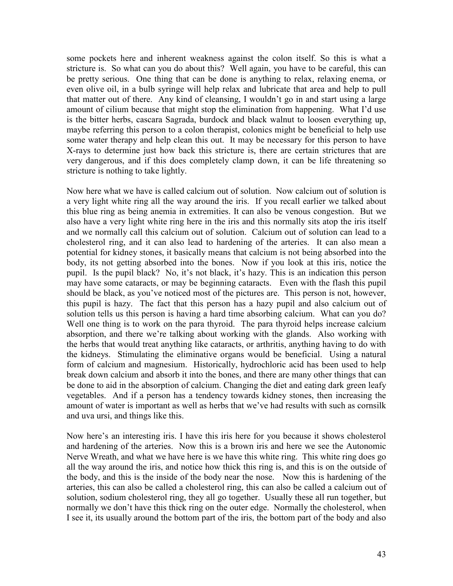some pockets here and inherent weakness against the colon itself. So this is what a stricture is. So what can you do about this? Well again, you have to be careful, this can be pretty serious. One thing that can be done is anything to relax, relaxing enema, or even olive oil, in a bulb syringe will help relax and lubricate that area and help to pull that matter out of there. Any kind of cleansing, I wouldn't go in and start using a large amount of cilium because that might stop the elimination from happening. What I'd use is the bitter herbs, cascara Sagrada, burdock and black walnut to loosen everything up, maybe referring this person to a colon therapist, colonics might be beneficial to help use some water therapy and help clean this out. It may be necessary for this person to have X-rays to determine just how back this stricture is, there are certain strictures that are very dangerous, and if this does completely clamp down, it can be life threatening so stricture is nothing to take lightly.

Now here what we have is called calcium out of solution. Now calcium out of solution is a very light white ring all the way around the iris. If you recall earlier we talked about this blue ring as being anemia in extremities. It can also be venous congestion. But we also have a very light white ring here in the iris and this normally sits atop the iris itself and we normally call this calcium out of solution. Calcium out of solution can lead to a cholesterol ring, and it can also lead to hardening of the arteries. It can also mean a potential for kidney stones, it basically means that calcium is not being absorbed into the body, its not getting absorbed into the bones. Now if you look at this iris, notice the pupil. Is the pupil black? No, it's not black, it's hazy. This is an indication this person may have some cataracts, or may be beginning cataracts. Even with the flash this pupil should be black, as you've noticed most of the pictures are. This person is not, however, this pupil is hazy. The fact that this person has a hazy pupil and also calcium out of solution tells us this person is having a hard time absorbing calcium. What can you do? Well one thing is to work on the para thyroid. The para thyroid helps increase calcium absorption, and there we're talking about working with the glands. Also working with the herbs that would treat anything like cataracts, or arthritis, anything having to do with the kidneys. Stimulating the eliminative organs would be beneficial. Using a natural form of calcium and magnesium. Historically, hydrochloric acid has been used to help break down calcium and absorb it into the bones, and there are many other things that can be done to aid in the absorption of calcium. Changing the diet and eating dark green leafy vegetables. And if a person has a tendency towards kidney stones, then increasing the amount of water is important as well as herbs that we've had results with such as cornsilk and uva ursi, and things like this.

Now here's an interesting iris. I have this iris here for you because it shows cholesterol and hardening of the arteries. Now this is a brown iris and here we see the Autonomic Nerve Wreath, and what we have here is we have this white ring. This white ring does go all the way around the iris, and notice how thick this ring is, and this is on the outside of the body, and this is the inside of the body near the nose. Now this is hardening of the arteries, this can also be called a cholesterol ring, this can also be called a calcium out of solution, sodium cholesterol ring, they all go together. Usually these all run together, but normally we don't have this thick ring on the outer edge. Normally the cholesterol, when I see it, its usually around the bottom part of the iris, the bottom part of the body and also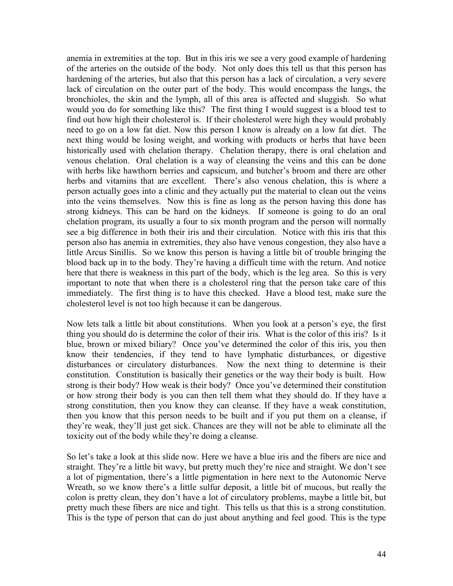anemia in extremities at the top. But in this iris we see a very good example of hardening of the arteries on the outside of the body. Not only does this tell us that this person has hardening of the arteries, but also that this person has a lack of circulation, a very severe lack of circulation on the outer part of the body. This would encompass the lungs, the bronchioles, the skin and the lymph, all of this area is affected and sluggish. So what would you do for something like this? The first thing I would suggest is a blood test to find out how high their cholesterol is. If their cholesterol were high they would probably need to go on a low fat diet. Now this person I know is already on a low fat diet. The next thing would be losing weight, and working with products or herbs that have been historically used with chelation therapy. Chelation therapy, there is oral chelation and venous chelation. Oral chelation is a way of cleansing the veins and this can be done with herbs like hawthorn berries and capsicum, and butcher's broom and there are other herbs and vitamins that are excellent. There's also venous chelation, this is where a person actually goes into a clinic and they actually put the material to clean out the veins into the veins themselves. Now this is fine as long as the person having this done has strong kidneys. This can be hard on the kidneys. If someone is going to do an oral chelation program, its usually a four to six month program and the person will normally see a big difference in both their iris and their circulation. Notice with this iris that this person also has anemia in extremities, they also have venous congestion, they also have a little Arcus Sinillis. So we know this person is having a little bit of trouble bringing the blood back up in to the body. They're having a difficult time with the return. And notice here that there is weakness in this part of the body, which is the leg area. So this is very important to note that when there is a cholesterol ring that the person take care of this immediately. The first thing is to have this checked. Have a blood test, make sure the cholesterol level is not too high because it can be dangerous.

Now lets talk a little bit about constitutions. When you look at a person's eye, the first thing you should do is determine the color of their iris. What is the color of this iris? Is it blue, brown or mixed biliary? Once you've determined the color of this iris, you then know their tendencies, if they tend to have lymphatic disturbances, or digestive disturbances or circulatory disturbances. Now the next thing to determine is their constitution. Constitution is basically their genetics or the way their body is built. How strong is their body? How weak is their body? Once you've determined their constitution or how strong their body is you can then tell them what they should do. If they have a strong constitution, then you know they can cleanse. If they have a weak constitution, then you know that this person needs to be built and if you put them on a cleanse, if they're weak, they'll just get sick. Chances are they will not be able to eliminate all the toxicity out of the body while they're doing a cleanse.

So let's take a look at this slide now. Here we have a blue iris and the fibers are nice and straight. They're a little bit wavy, but pretty much they're nice and straight. We don't see a lot of pigmentation, there's a little pigmentation in here next to the Autonomic Nerve Wreath, so we know there's a little sulfur deposit, a little bit of mucous, but really the colon is pretty clean, they don't have a lot of circulatory problems, maybe a little bit, but pretty much these fibers are nice and tight. This tells us that this is a strong constitution. This is the type of person that can do just about anything and feel good. This is the type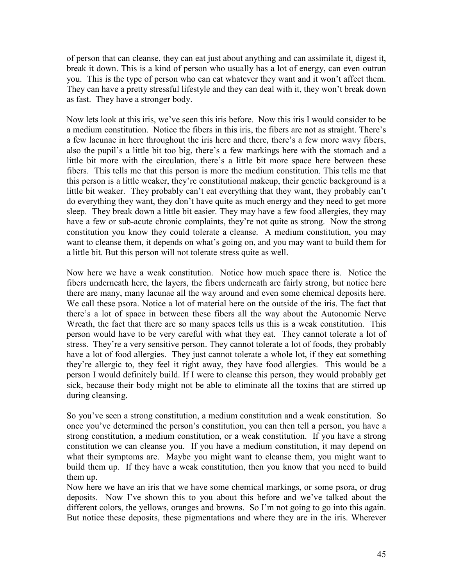of person that can cleanse, they can eat just about anything and can assimilate it, digest it, break it down. This is a kind of person who usually has a lot of energy, can even outrun you. This is the type of person who can eat whatever they want and it won't affect them. They can have a pretty stressful lifestyle and they can deal with it, they won't break down as fast. They have a stronger body.

Now lets look at this iris, we've seen this iris before. Now this iris I would consider to be a medium constitution. Notice the fibers in this iris, the fibers are not as straight. There's a few lacunae in here throughout the iris here and there, there's a few more wavy fibers, also the pupil's a little bit too big, there's a few markings here with the stomach and a little bit more with the circulation, there's a little bit more space here between these fibers. This tells me that this person is more the medium constitution. This tells me that this person is a little weaker, they're constitutional makeup, their genetic background is a little bit weaker. They probably can't eat everything that they want, they probably can't do everything they want, they don't have quite as much energy and they need to get more sleep. They break down a little bit easier. They may have a few food allergies, they may have a few or sub-acute chronic complaints, they're not quite as strong. Now the strong constitution you know they could tolerate a cleanse. A medium constitution, you may want to cleanse them, it depends on what's going on, and you may want to build them for a little bit. But this person will not tolerate stress quite as well.

Now here we have a weak constitution. Notice how much space there is. Notice the fibers underneath here, the layers, the fibers underneath are fairly strong, but notice here there are many, many lacunae all the way around and even some chemical deposits here. We call these psora. Notice a lot of material here on the outside of the iris. The fact that there's a lot of space in between these fibers all the way about the Autonomic Nerve Wreath, the fact that there are so many spaces tells us this is a weak constitution. This person would have to be very careful with what they eat. They cannot tolerate a lot of stress. They're a very sensitive person. They cannot tolerate a lot of foods, they probably have a lot of food allergies. They just cannot tolerate a whole lot, if they eat something they're allergic to, they feel it right away, they have food allergies. This would be a person I would definitely build. If I were to cleanse this person, they would probably get sick, because their body might not be able to eliminate all the toxins that are stirred up during cleansing.

So you've seen a strong constitution, a medium constitution and a weak constitution. So once you've determined the person's constitution, you can then tell a person, you have a strong constitution, a medium constitution, or a weak constitution. If you have a strong constitution we can cleanse you. If you have a medium constitution, it may depend on what their symptoms are. Maybe you might want to cleanse them, you might want to build them up. If they have a weak constitution, then you know that you need to build them up.

Now here we have an iris that we have some chemical markings, or some psora, or drug deposits. Now I've shown this to you about this before and we've talked about the different colors, the yellows, oranges and browns. So I'm not going to go into this again. But notice these deposits, these pigmentations and where they are in the iris. Wherever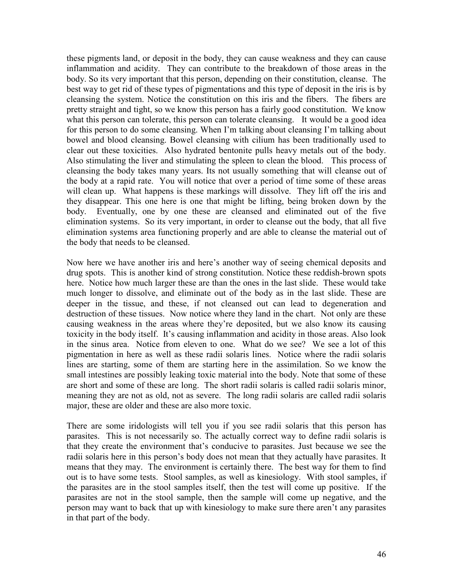these pigments land, or deposit in the body, they can cause weakness and they can cause inflammation and acidity. They can contribute to the breakdown of those areas in the body. So its very important that this person, depending on their constitution, cleanse. The best way to get rid of these types of pigmentations and this type of deposit in the iris is by cleansing the system. Notice the constitution on this iris and the fibers. The fibers are pretty straight and tight, so we know this person has a fairly good constitution. We know what this person can tolerate, this person can tolerate cleansing. It would be a good idea for this person to do some cleansing. When I'm talking about cleansing I'm talking about bowel and blood cleansing. Bowel cleansing with cilium has been traditionally used to clear out these toxicities. Also hydrated bentonite pulls heavy metals out of the body. Also stimulating the liver and stimulating the spleen to clean the blood. This process of cleansing the body takes many years. Its not usually something that will cleanse out of the body at a rapid rate. You will notice that over a period of time some of these areas will clean up. What happens is these markings will dissolve. They lift off the iris and they disappear. This one here is one that might be lifting, being broken down by the body. Eventually, one by one these are cleansed and eliminated out of the five elimination systems. So its very important, in order to cleanse out the body, that all five elimination systems area functioning properly and are able to cleanse the material out of the body that needs to be cleansed.

Now here we have another iris and here's another way of seeing chemical deposits and drug spots. This is another kind of strong constitution. Notice these reddish-brown spots here. Notice how much larger these are than the ones in the last slide. These would take much longer to dissolve, and eliminate out of the body as in the last slide. These are deeper in the tissue, and these, if not cleansed out can lead to degeneration and destruction of these tissues. Now notice where they land in the chart. Not only are these causing weakness in the areas where they're deposited, but we also know its causing toxicity in the body itself. It's causing inflammation and acidity in those areas. Also look in the sinus area. Notice from eleven to one. What do we see? We see a lot of this pigmentation in here as well as these radii solaris lines. Notice where the radii solaris lines are starting, some of them are starting here in the assimilation. So we know the small intestines are possibly leaking toxic material into the body. Note that some of these are short and some of these are long. The short radii solaris is called radii solaris minor, meaning they are not as old, not as severe. The long radii solaris are called radii solaris major, these are older and these are also more toxic.

There are some iridologists will tell you if you see radii solaris that this person has parasites. This is not necessarily so. The actually correct way to define radii solaris is that they create the environment that's conducive to parasites. Just because we see the radii solaris here in this person's body does not mean that they actually have parasites. It means that they may. The environment is certainly there. The best way for them to find out is to have some tests. Stool samples, as well as kinesiology. With stool samples, if the parasites are in the stool samples itself, then the test will come up positive. If the parasites are not in the stool sample, then the sample will come up negative, and the person may want to back that up with kinesiology to make sure there aren't any parasites in that part of the body.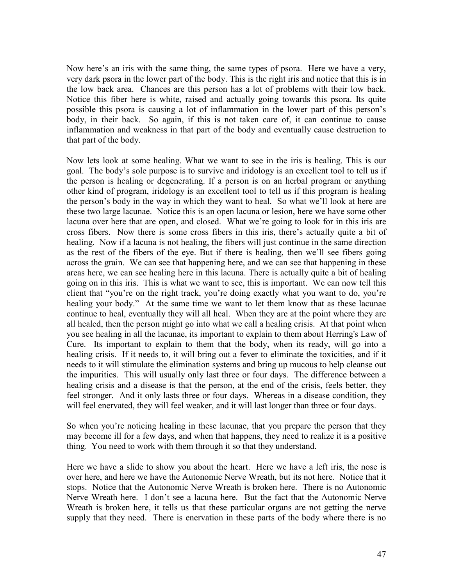Now here's an iris with the same thing, the same types of psora. Here we have a very, very dark psora in the lower part of the body. This is the right iris and notice that this is in the low back area. Chances are this person has a lot of problems with their low back. Notice this fiber here is white, raised and actually going towards this psora. Its quite possible this psora is causing a lot of inflammation in the lower part of this person's body, in their back. So again, if this is not taken care of, it can continue to cause inflammation and weakness in that part of the body and eventually cause destruction to that part of the body.

Now lets look at some healing. What we want to see in the iris is healing. This is our goal. The body's sole purpose is to survive and iridology is an excellent tool to tell us if the person is healing or degenerating. If a person is on an herbal program or anything other kind of program, iridology is an excellent tool to tell us if this program is healing the person's body in the way in which they want to heal. So what we'll look at here are these two large lacunae. Notice this is an open lacuna or lesion, here we have some other lacuna over here that are open, and closed. What we're going to look for in this iris are cross fibers. Now there is some cross fibers in this iris, there's actually quite a bit of healing. Now if a lacuna is not healing, the fibers will just continue in the same direction as the rest of the fibers of the eye. But if there is healing, then we'll see fibers going across the grain. We can see that happening here, and we can see that happening in these areas here, we can see healing here in this lacuna. There is actually quite a bit of healing going on in this iris. This is what we want to see, this is important. We can now tell this client that "you're on the right track, you're doing exactly what you want to do, you're healing your body." At the same time we want to let them know that as these lacunae continue to heal, eventually they will all heal. When they are at the point where they are all healed, then the person might go into what we call a healing crisis. At that point when you see healing in all the lacunae, its important to explain to them about Herring's Law of Cure. Its important to explain to them that the body, when its ready, will go into a healing crisis. If it needs to, it will bring out a fever to eliminate the toxicities, and if it needs to it will stimulate the elimination systems and bring up mucous to help cleanse out the impurities. This will usually only last three or four days. The difference between a healing crisis and a disease is that the person, at the end of the crisis, feels better, they feel stronger. And it only lasts three or four days. Whereas in a disease condition, they will feel enervated, they will feel weaker, and it will last longer than three or four days.

So when you're noticing healing in these lacunae, that you prepare the person that they may become ill for a few days, and when that happens, they need to realize it is a positive thing. You need to work with them through it so that they understand.

Here we have a slide to show you about the heart. Here we have a left iris, the nose is over here, and here we have the Autonomic Nerve Wreath, but its not here. Notice that it stops. Notice that the Autonomic Nerve Wreath is broken here. There is no Autonomic Nerve Wreath here. I don't see a lacuna here. But the fact that the Autonomic Nerve Wreath is broken here, it tells us that these particular organs are not getting the nerve supply that they need. There is enervation in these parts of the body where there is no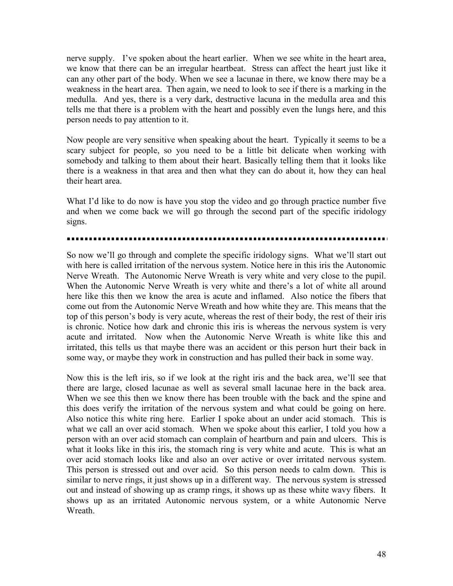nerve supply. I've spoken about the heart earlier. When we see white in the heart area, we know that there can be an irregular heartbeat. Stress can affect the heart just like it can any other part of the body. When we see a lacunae in there, we know there may be a weakness in the heart area. Then again, we need to look to see if there is a marking in the medulla. And yes, there is a very dark, destructive lacuna in the medulla area and this tells me that there is a problem with the heart and possibly even the lungs here, and this person needs to pay attention to it.

Now people are very sensitive when speaking about the heart. Typically it seems to be a scary subject for people, so you need to be a little bit delicate when working with somebody and talking to them about their heart. Basically telling them that it looks like there is a weakness in that area and then what they can do about it, how they can heal their heart area.

What I'd like to do now is have you stop the video and go through practice number five and when we come back we will go through the second part of the specific iridology signs.

So now we'll go through and complete the specific iridology signs. What we'll start out with here is called irritation of the nervous system. Notice here in this iris the Autonomic Nerve Wreath. The Autonomic Nerve Wreath is very white and very close to the pupil. When the Autonomic Nerve Wreath is very white and there's a lot of white all around here like this then we know the area is acute and inflamed. Also notice the fibers that come out from the Autonomic Nerve Wreath and how white they are. This means that the top of this person's body is very acute, whereas the rest of their body, the rest of their iris is chronic. Notice how dark and chronic this iris is whereas the nervous system is very acute and irritated. Now when the Autonomic Nerve Wreath is white like this and irritated, this tells us that maybe there was an accident or this person hurt their back in some way, or maybe they work in construction and has pulled their back in some way.

Now this is the left iris, so if we look at the right iris and the back area, we'll see that there are large, closed lacunae as well as several small lacunae here in the back area. When we see this then we know there has been trouble with the back and the spine and this does verify the irritation of the nervous system and what could be going on here. Also notice this white ring here. Earlier I spoke about an under acid stomach. This is what we call an over acid stomach. When we spoke about this earlier, I told you how a person with an over acid stomach can complain of heartburn and pain and ulcers. This is what it looks like in this iris, the stomach ring is very white and acute. This is what an over acid stomach looks like and also an over active or over irritated nervous system. This person is stressed out and over acid. So this person needs to calm down. This is similar to nerve rings, it just shows up in a different way. The nervous system is stressed out and instead of showing up as cramp rings, it shows up as these white wavy fibers. It shows up as an irritated Autonomic nervous system, or a white Autonomic Nerve **Wreath**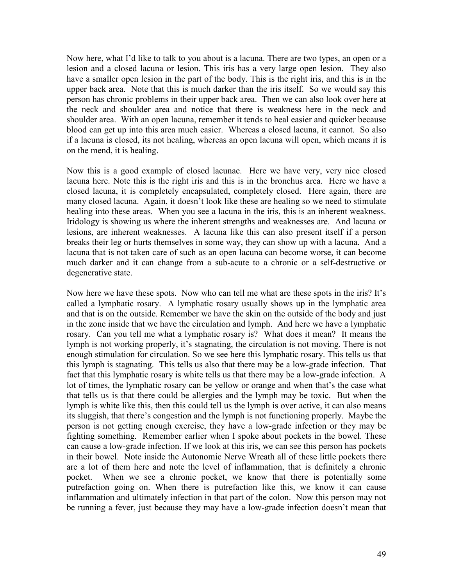Now here, what I'd like to talk to you about is a lacuna. There are two types, an open or a lesion and a closed lacuna or lesion. This iris has a very large open lesion. They also have a smaller open lesion in the part of the body. This is the right iris, and this is in the upper back area. Note that this is much darker than the iris itself. So we would say this person has chronic problems in their upper back area. Then we can also look over here at the neck and shoulder area and notice that there is weakness here in the neck and shoulder area. With an open lacuna, remember it tends to heal easier and quicker because blood can get up into this area much easier. Whereas a closed lacuna, it cannot. So also if a lacuna is closed, its not healing, whereas an open lacuna will open, which means it is on the mend, it is healing.

Now this is a good example of closed lacunae. Here we have very, very nice closed lacuna here. Note this is the right iris and this is in the bronchus area. Here we have a closed lacuna, it is completely encapsulated, completely closed. Here again, there are many closed lacuna. Again, it doesn't look like these are healing so we need to stimulate healing into these areas. When you see a lacuna in the iris, this is an inherent weakness. Iridology is showing us where the inherent strengths and weaknesses are. And lacuna or lesions, are inherent weaknesses. A lacuna like this can also present itself if a person breaks their leg or hurts themselves in some way, they can show up with a lacuna. And a lacuna that is not taken care of such as an open lacuna can become worse, it can become much darker and it can change from a sub-acute to a chronic or a self-destructive or degenerative state.

Now here we have these spots. Now who can tell me what are these spots in the iris? It's called a lymphatic rosary. A lymphatic rosary usually shows up in the lymphatic area and that is on the outside. Remember we have the skin on the outside of the body and just in the zone inside that we have the circulation and lymph. And here we have a lymphatic rosary. Can you tell me what a lymphatic rosary is? What does it mean? It means the lymph is not working properly, it's stagnating, the circulation is not moving. There is not enough stimulation for circulation. So we see here this lymphatic rosary. This tells us that this lymph is stagnating. This tells us also that there may be a low-grade infection. That fact that this lymphatic rosary is white tells us that there may be a low-grade infection. A lot of times, the lymphatic rosary can be yellow or orange and when that's the case what that tells us is that there could be allergies and the lymph may be toxic. But when the lymph is white like this, then this could tell us the lymph is over active, it can also means its sluggish, that there's congestion and the lymph is not functioning properly. Maybe the person is not getting enough exercise, they have a low-grade infection or they may be fighting something. Remember earlier when I spoke about pockets in the bowel. These can cause a low-grade infection. If we look at this iris, we can see this person has pockets in their bowel. Note inside the Autonomic Nerve Wreath all of these little pockets there are a lot of them here and note the level of inflammation, that is definitely a chronic pocket. When we see a chronic pocket, we know that there is potentially some putrefaction going on. When there is putrefaction like this, we know it can cause inflammation and ultimately infection in that part of the colon. Now this person may not be running a fever, just because they may have a low-grade infection doesn't mean that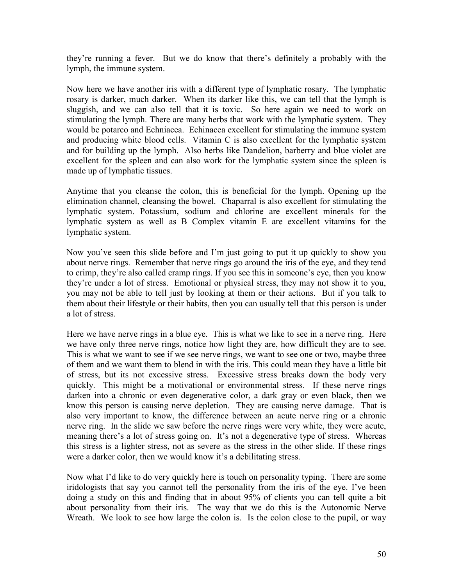they're running a fever. But we do know that there's definitely a probably with the lymph, the immune system.

Now here we have another iris with a different type of lymphatic rosary. The lymphatic rosary is darker, much darker. When its darker like this, we can tell that the lymph is sluggish, and we can also tell that it is toxic. So here again we need to work on stimulating the lymph. There are many herbs that work with the lymphatic system. They would be potarco and Echniacea. Echinacea excellent for stimulating the immune system and producing white blood cells. Vitamin C is also excellent for the lymphatic system and for building up the lymph. Also herbs like Dandelion, barberry and blue violet are excellent for the spleen and can also work for the lymphatic system since the spleen is made up of lymphatic tissues.

Anytime that you cleanse the colon, this is beneficial for the lymph. Opening up the elimination channel, cleansing the bowel. Chaparral is also excellent for stimulating the lymphatic system. Potassium, sodium and chlorine are excellent minerals for the lymphatic system as well as B Complex vitamin E are excellent vitamins for the lymphatic system.

Now you've seen this slide before and I'm just going to put it up quickly to show you about nerve rings. Remember that nerve rings go around the iris of the eye, and they tend to crimp, they're also called cramp rings. If you see this in someone's eye, then you know they're under a lot of stress. Emotional or physical stress, they may not show it to you, you may not be able to tell just by looking at them or their actions. But if you talk to them about their lifestyle or their habits, then you can usually tell that this person is under a lot of stress.

Here we have nerve rings in a blue eye. This is what we like to see in a nerve ring. Here we have only three nerve rings, notice how light they are, how difficult they are to see. This is what we want to see if we see nerve rings, we want to see one or two, maybe three of them and we want them to blend in with the iris. This could mean they have a little bit of stress, but its not excessive stress. Excessive stress breaks down the body very quickly. This might be a motivational or environmental stress. If these nerve rings darken into a chronic or even degenerative color, a dark gray or even black, then we know this person is causing nerve depletion. They are causing nerve damage. That is also very important to know, the difference between an acute nerve ring or a chronic nerve ring. In the slide we saw before the nerve rings were very white, they were acute, meaning there's a lot of stress going on. It's not a degenerative type of stress. Whereas this stress is a lighter stress, not as severe as the stress in the other slide. If these rings were a darker color, then we would know it's a debilitating stress.

Now what I'd like to do very quickly here is touch on personality typing. There are some iridologists that say you cannot tell the personality from the iris of the eye. I've been doing a study on this and finding that in about 95% of clients you can tell quite a bit about personality from their iris. The way that we do this is the Autonomic Nerve Wreath. We look to see how large the colon is. Is the colon close to the pupil, or way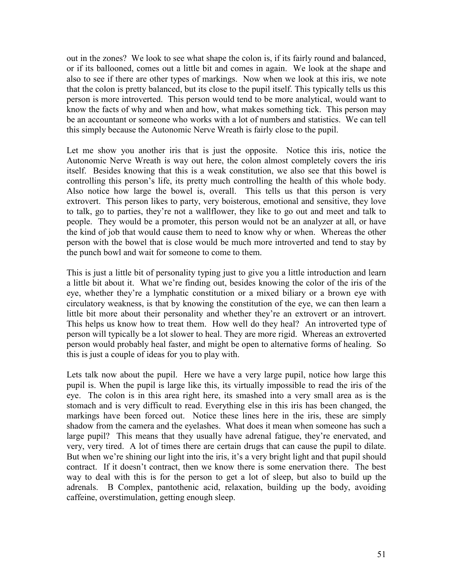out in the zones? We look to see what shape the colon is, if its fairly round and balanced, or if its ballooned, comes out a little bit and comes in again. We look at the shape and also to see if there are other types of markings. Now when we look at this iris, we note that the colon is pretty balanced, but its close to the pupil itself. This typically tells us this person is more introverted. This person would tend to be more analytical, would want to know the facts of why and when and how, what makes something tick. This person may be an accountant or someone who works with a lot of numbers and statistics. We can tell this simply because the Autonomic Nerve Wreath is fairly close to the pupil.

Let me show you another iris that is just the opposite. Notice this iris, notice the Autonomic Nerve Wreath is way out here, the colon almost completely covers the iris itself. Besides knowing that this is a weak constitution, we also see that this bowel is controlling this person's life, its pretty much controlling the health of this whole body. Also notice how large the bowel is, overall. This tells us that this person is very extrovert. This person likes to party, very boisterous, emotional and sensitive, they love to talk, go to parties, they're not a wallflower, they like to go out and meet and talk to people. They would be a promoter, this person would not be an analyzer at all, or have the kind of job that would cause them to need to know why or when. Whereas the other person with the bowel that is close would be much more introverted and tend to stay by the punch bowl and wait for someone to come to them.

This is just a little bit of personality typing just to give you a little introduction and learn a little bit about it. What we're finding out, besides knowing the color of the iris of the eye, whether they're a lymphatic constitution or a mixed biliary or a brown eye with circulatory weakness, is that by knowing the constitution of the eye, we can then learn a little bit more about their personality and whether they're an extrovert or an introvert. This helps us know how to treat them. How well do they heal? An introverted type of person will typically be a lot slower to heal. They are more rigid. Whereas an extroverted person would probably heal faster, and might be open to alternative forms of healing. So this is just a couple of ideas for you to play with.

Lets talk now about the pupil. Here we have a very large pupil, notice how large this pupil is. When the pupil is large like this, its virtually impossible to read the iris of the eye. The colon is in this area right here, its smashed into a very small area as is the stomach and is very difficult to read. Everything else in this iris has been changed, the markings have been forced out. Notice these lines here in the iris, these are simply shadow from the camera and the eyelashes. What does it mean when someone has such a large pupil? This means that they usually have adrenal fatigue, they're enervated, and very, very tired. A lot of times there are certain drugs that can cause the pupil to dilate. But when we're shining our light into the iris, it's a very bright light and that pupil should contract. If it doesn't contract, then we know there is some enervation there. The best way to deal with this is for the person to get a lot of sleep, but also to build up the adrenals. B Complex, pantothenic acid, relaxation, building up the body, avoiding caffeine, overstimulation, getting enough sleep.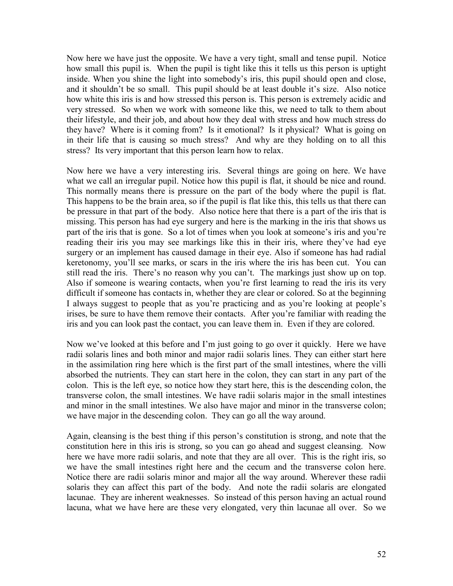Now here we have just the opposite. We have a very tight, small and tense pupil. Notice how small this pupil is. When the pupil is tight like this it tells us this person is uptight inside. When you shine the light into somebody's iris, this pupil should open and close, and it shouldn't be so small. This pupil should be at least double it's size. Also notice how white this iris is and how stressed this person is. This person is extremely acidic and very stressed. So when we work with someone like this, we need to talk to them about their lifestyle, and their job, and about how they deal with stress and how much stress do they have? Where is it coming from? Is it emotional? Is it physical? What is going on in their life that is causing so much stress? And why are they holding on to all this stress? Its very important that this person learn how to relax.

Now here we have a very interesting iris. Several things are going on here. We have what we call an irregular pupil. Notice how this pupil is flat, it should be nice and round. This normally means there is pressure on the part of the body where the pupil is flat. This happens to be the brain area, so if the pupil is flat like this, this tells us that there can be pressure in that part of the body. Also notice here that there is a part of the iris that is missing. This person has had eye surgery and here is the marking in the iris that shows us part of the iris that is gone. So a lot of times when you look at someone's iris and you're reading their iris you may see markings like this in their iris, where they've had eye surgery or an implement has caused damage in their eye. Also if someone has had radial keretonomy, you'll see marks, or scars in the iris where the iris has been cut. You can still read the iris. There's no reason why you can't. The markings just show up on top. Also if someone is wearing contacts, when you're first learning to read the iris its very difficult if someone has contacts in, whether they are clear or colored. So at the beginning I always suggest to people that as you're practicing and as you're looking at people's irises, be sure to have them remove their contacts. After you're familiar with reading the iris and you can look past the contact, you can leave them in. Even if they are colored.

Now we've looked at this before and I'm just going to go over it quickly. Here we have radii solaris lines and both minor and major radii solaris lines. They can either start here in the assimilation ring here which is the first part of the small intestines, where the villi absorbed the nutrients. They can start here in the colon, they can start in any part of the colon. This is the left eye, so notice how they start here, this is the descending colon, the transverse colon, the small intestines. We have radii solaris major in the small intestines and minor in the small intestines. We also have major and minor in the transverse colon; we have major in the descending colon. They can go all the way around.

Again, cleansing is the best thing if this person's constitution is strong, and note that the constitution here in this iris is strong, so you can go ahead and suggest cleansing. Now here we have more radii solaris, and note that they are all over. This is the right iris, so we have the small intestines right here and the cecum and the transverse colon here. Notice there are radii solaris minor and major all the way around. Wherever these radii solaris they can affect this part of the body. And note the radii solaris are elongated lacunae. They are inherent weaknesses. So instead of this person having an actual round lacuna, what we have here are these very elongated, very thin lacunae all over. So we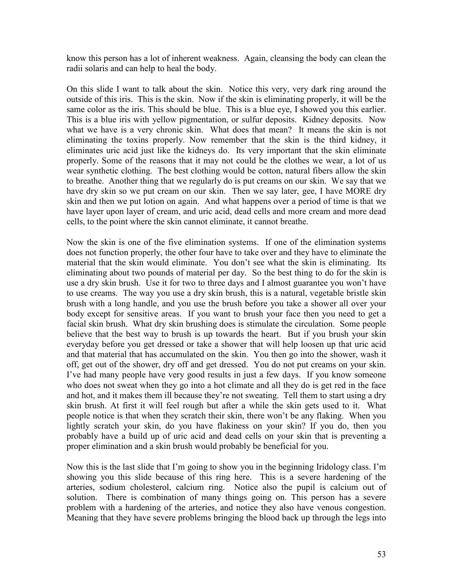know this person has a lot of inherent weakness. Again, cleansing the body can clean the radii solaris and can help to heal the body.

On this slide I want to talk about the skin. Notice this very, very dark ring around the outside of this iris. This is the skin. Now if the skin is eliminating properly, it will be the same color as the iris. This should be blue. This is a blue eye, I showed you this earlier. This is a blue iris with yellow pigmentation, or sulfur deposits. Kidney deposits. Now what we have is a very chronic skin. What does that mean? It means the skin is not eliminating the toxins properly. Now remember that the skin is the third kidney, it eliminates uric acid just like the kidneys do. Its very important that the skin eliminate properly. Some of the reasons that it may not could be the clothes we wear, a lot of us wear synthetic clothing. The best clothing would be cotton, natural fibers allow the skin to breathe. Another thing that we regularly do is put creams on our skin. We say that we have dry skin so we put cream on our skin. Then we say later, gee, I have MORE dry skin and then we put lotion on again. And what happens over a period of time is that we have layer upon layer of cream, and uric acid, dead cells and more cream and more dead cells, to the point where the skin cannot eliminate, it cannot breathe.

Now the skin is one of the five elimination systems. If one of the elimination systems does not function properly, the other four have to take over and they have to eliminate the material that the skin would eliminate. You don't see what the skin is eliminating. Its eliminating about two pounds of material per day. So the best thing to do for the skin is use a dry skin brush. Use it for two to three days and I almost guarantee you won't have to use creams. The way you use a dry skin brush, this is a natural, vegetable bristle skin brush with a long handle, and you use the brush before you take a shower all over your body except for sensitive areas. If you want to brush your face then you need to get a facial skin brush. What dry skin brushing does is stimulate the circulation. Some people believe that the best way to brush is up towards the heart. But if you brush your skin everyday before you get dressed or take a shower that will help loosen up that uric acid and that material that has accumulated on the skin. You then go into the shower, wash it off, get out of the shower, dry off and get dressed. You do not put creams on your skin. I've had many people have very good results in just a few days. If you know someone who does not sweat when they go into a hot climate and all they do is get red in the face and hot, and it makes them ill because they're not sweating. Tell them to start using a dry skin brush. At first it will feel rough but after a while the skin gets used to it. What people notice is that when they scratch their skin, there won't be any flaking. When you lightly scratch your skin, do you have flakiness on your skin? If you do, then you probably have a build up of uric acid and dead cells on your skin that is preventing a proper elimination and a skin brush would probably be beneficial for you.

Now this is the last slide that I'm going to show you in the beginning Iridology class. I'm showing you this slide because of this ring here. This is a severe hardening of the arteries, sodium cholesterol, calcium ring. Notice also the pupil is calcium out of solution. There is combination of many things going on. This person has a severe problem with a hardening of the arteries, and notice they also have venous congestion. Meaning that they have severe problems bringing the blood back up through the legs into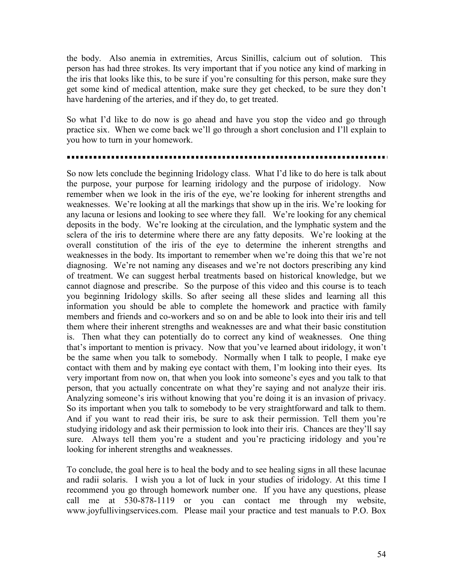the body. Also anemia in extremities, Arcus Sinillis, calcium out of solution. This person has had three strokes. Its very important that if you notice any kind of marking in the iris that looks like this, to be sure if you're consulting for this person, make sure they get some kind of medical attention, make sure they get checked, to be sure they don't have hardening of the arteries, and if they do, to get treated.

So what I'd like to do now is go ahead and have you stop the video and go through practice six. When we come back we'll go through a short conclusion and I'll explain to you how to turn in your homework.

So now lets conclude the beginning Iridology class. What I'd like to do here is talk about the purpose, your purpose for learning iridology and the purpose of iridology. Now remember when we look in the iris of the eye, we're looking for inherent strengths and weaknesses. We're looking at all the markings that show up in the iris. We're looking for any lacuna or lesions and looking to see where they fall. We're looking for any chemical deposits in the body. We're looking at the circulation, and the lymphatic system and the sclera of the iris to determine where there are any fatty deposits. We're looking at the overall constitution of the iris of the eye to determine the inherent strengths and weaknesses in the body. Its important to remember when we're doing this that we're not diagnosing. We're not naming any diseases and we're not doctors prescribing any kind of treatment. We can suggest herbal treatments based on historical knowledge, but we cannot diagnose and prescribe. So the purpose of this video and this course is to teach you beginning Iridology skills. So after seeing all these slides and learning all this information you should be able to complete the homework and practice with family members and friends and co-workers and so on and be able to look into their iris and tell them where their inherent strengths and weaknesses are and what their basic constitution is. Then what they can potentially do to correct any kind of weaknesses. One thing that's important to mention is privacy. Now that you've learned about iridology, it won't be the same when you talk to somebody. Normally when I talk to people, I make eye contact with them and by making eye contact with them, I'm looking into their eyes. Its very important from now on, that when you look into someone's eyes and you talk to that person, that you actually concentrate on what they're saying and not analyze their iris. Analyzing someone's iris without knowing that you're doing it is an invasion of privacy. So its important when you talk to somebody to be very straightforward and talk to them. And if you want to read their iris, be sure to ask their permission. Tell them you're studying iridology and ask their permission to look into their iris. Chances are they'll say sure. Always tell them you're a student and you're practicing iridology and you're looking for inherent strengths and weaknesses.

To conclude, the goal here is to heal the body and to see healing signs in all these lacunae and radii solaris. I wish you a lot of luck in your studies of iridology. At this time I recommend you go through homework number one. If you have any questions, please call me at 530-878-1119 or you can contact me through my website, www.joyfullivingservices.com. Please mail your practice and test manuals to P.O. Box